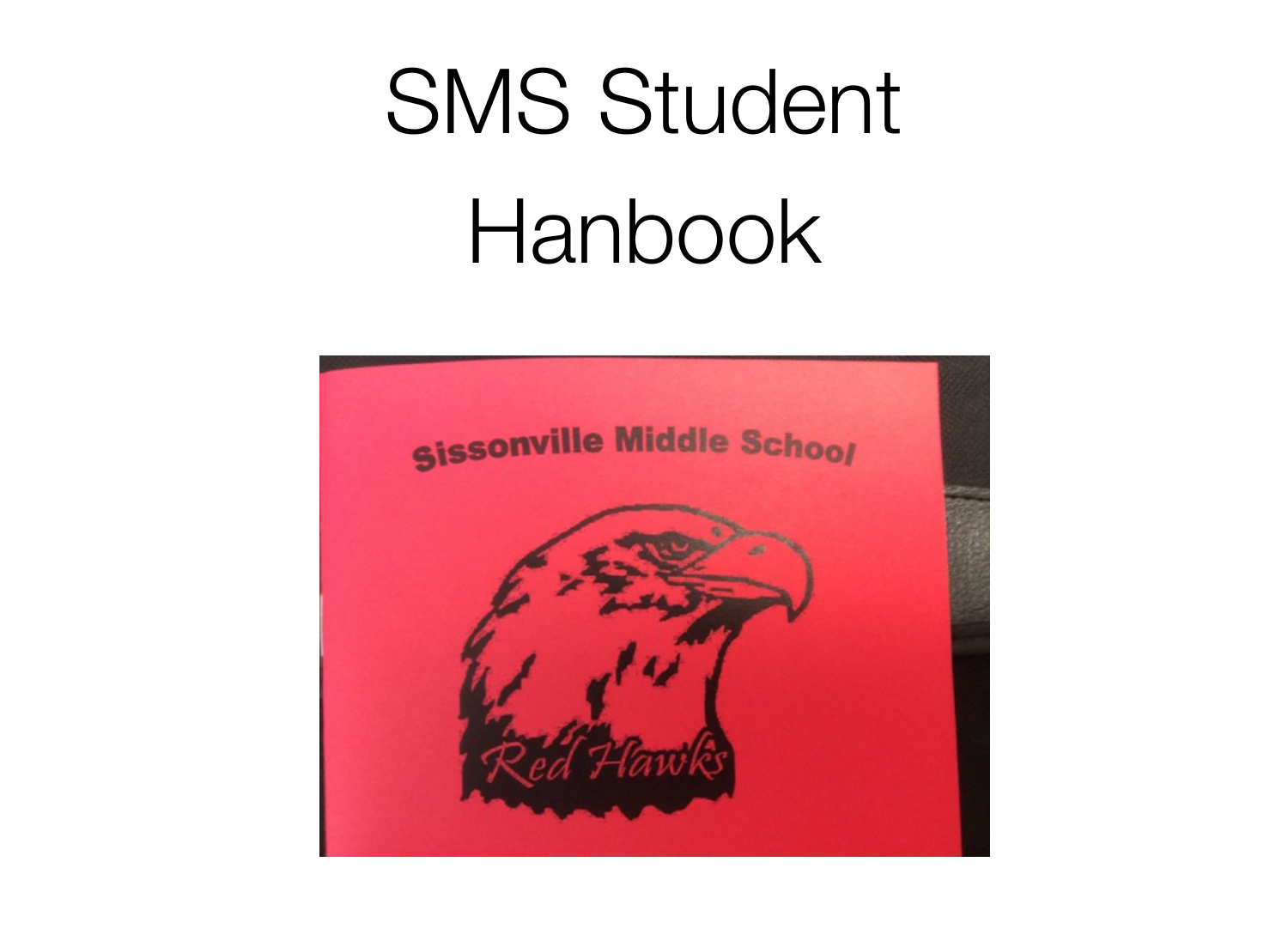# SMS Student Hanbook

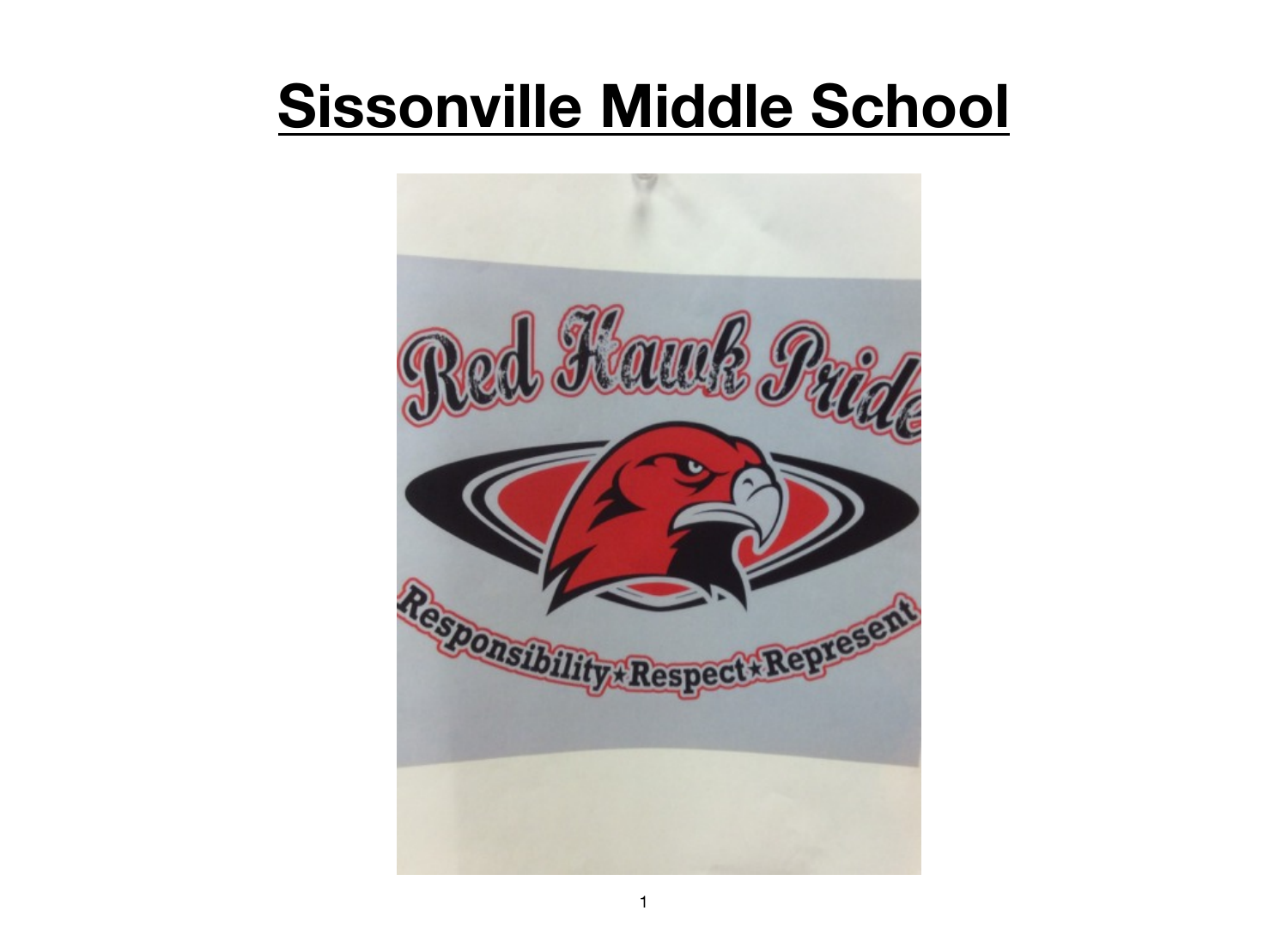# **Sissonville Middle School**

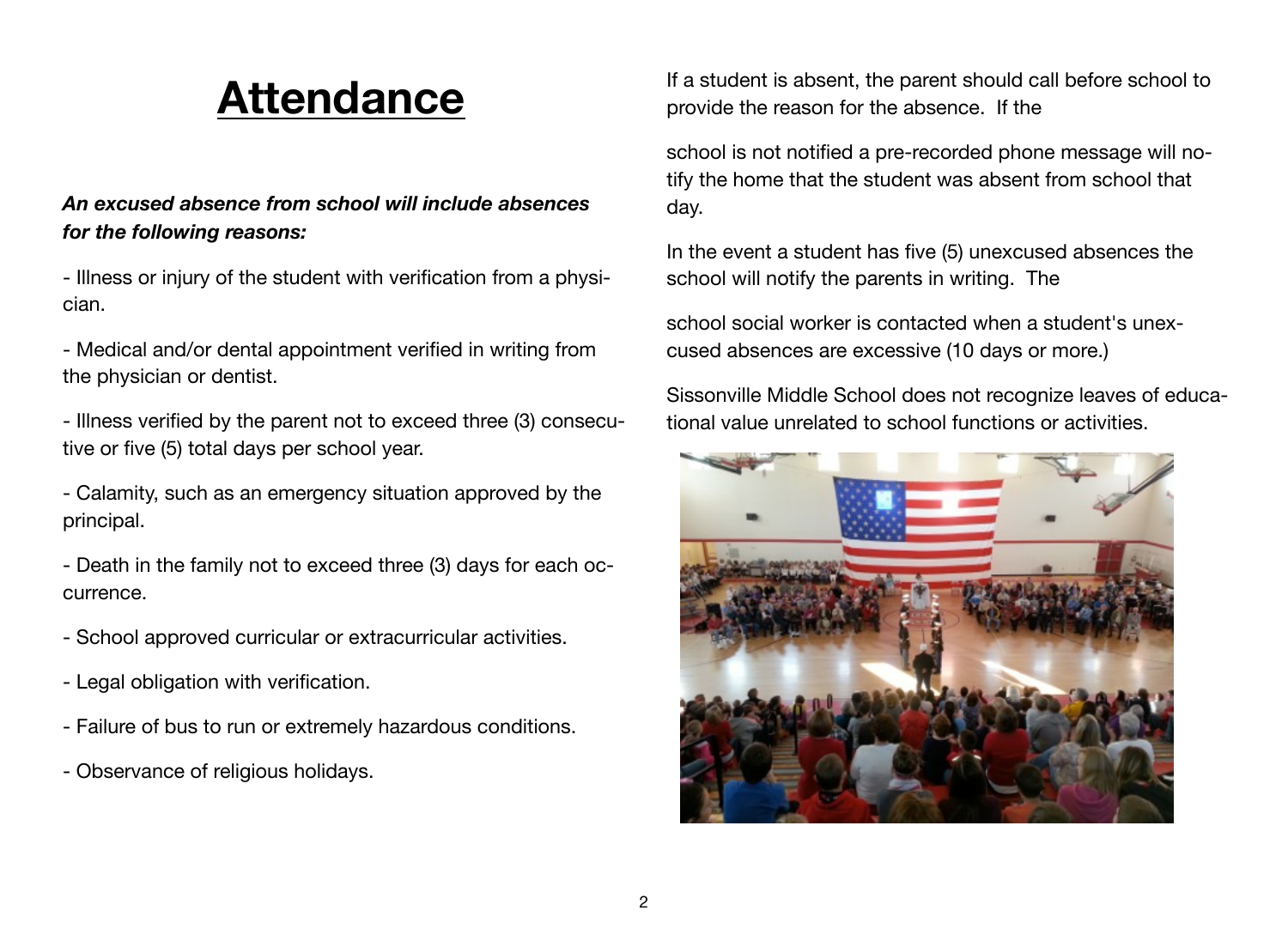# **Attendance**

# *An excused absence from school will include absences for the following reasons:*

- Illness or injury of the student with verification from a physician.

- Medical and/or dental appointment verified in writing from the physician or dentist.

- Illness verified by the parent not to exceed three (3) consecutive or five (5) total days per school year.

- Calamity, such as an emergency situation approved by the principal.

- Death in the family not to exceed three (3) days for each occurrence.

- School approved curricular or extracurricular activities.
- Legal obligation with verification.
- Failure of bus to run or extremely hazardous conditions.
- Observance of religious holidays.

If a student is absent, the parent should call before school to provide the reason for the absence. If the

school is not notified a pre-recorded phone message will notify the home that the student was absent from school that day.

In the event a student has five (5) unexcused absences the school will notify the parents in writing. The

school social worker is contacted when a student's unexcused absences are excessive (10 days or more.)

Sissonville Middle School does not recognize leaves of educational value unrelated to school functions or activities.

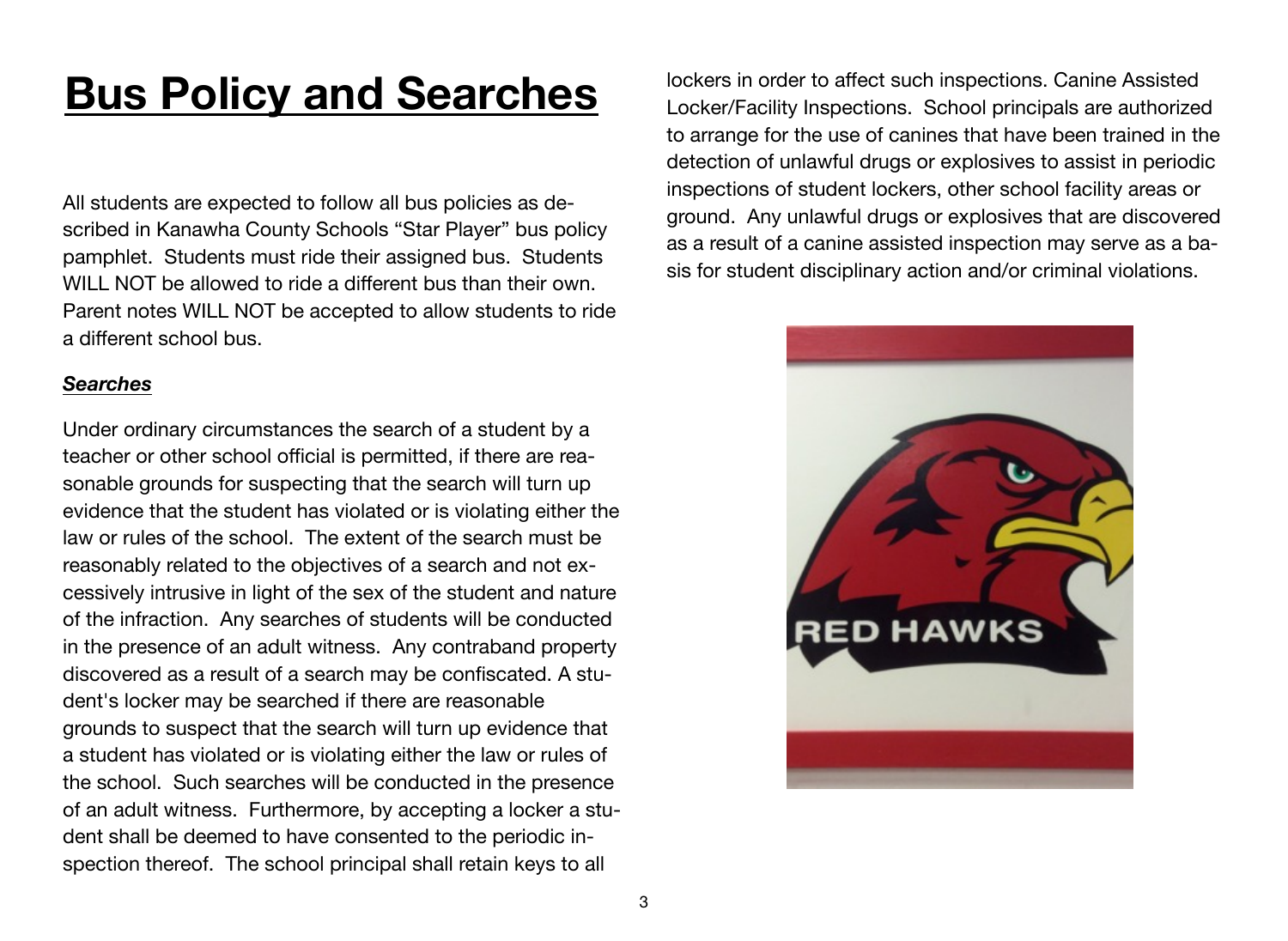# **Bus Policy and Searches**

All students are expected to follow all bus policies as described in Kanawha County Schools "Star Player" bus policy pamphlet. Students must ride their assigned bus. Students WILL NOT be allowed to ride a different bus than their own. Parent notes WILL NOT be accepted to allow students to ride a different school bus.

#### *Searches*

Under ordinary circumstances the search of a student by a teacher or other school official is permitted, if there are reasonable grounds for suspecting that the search will turn up evidence that the student has violated or is violating either the law or rules of the school. The extent of the search must be reasonably related to the objectives of a search and not excessively intrusive in light of the sex of the student and nature of the infraction. Any searches of students will be conducted in the presence of an adult witness. Any contraband property discovered as a result of a search may be confiscated. A student's locker may be searched if there are reasonable grounds to suspect that the search will turn up evidence that a student has violated or is violating either the law or rules of the school. Such searches will be conducted in the presence of an adult witness. Furthermore, by accepting a locker a student shall be deemed to have consented to the periodic inspection thereof. The school principal shall retain keys to all

lockers in order to affect such inspections. Canine Assisted Locker/Facility Inspections. School principals are authorized to arrange for the use of canines that have been trained in the detection of unlawful drugs or explosives to assist in periodic inspections of student lockers, other school facility areas or ground. Any unlawful drugs or explosives that are discovered as a result of a canine assisted inspection may serve as a basis for student disciplinary action and/or criminal violations.

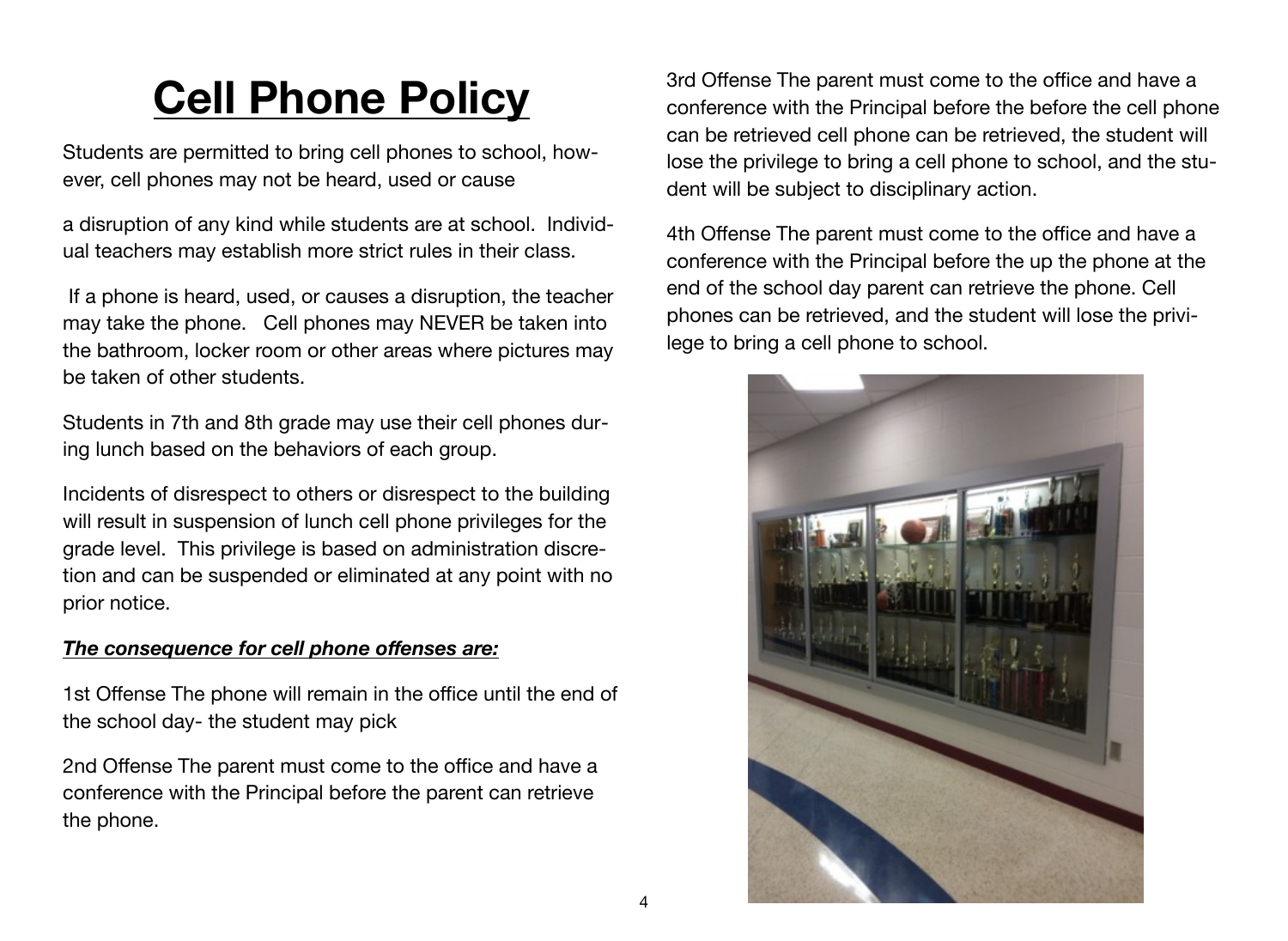# **Cell Phone Policy**

Students are permitted to bring cell phones to school, however, cell phones may not be heard, used or cause

a disruption of any kind while students are at school. Individual teachers may establish more strict rules in their class.

 If a phone is heard, used, or causes a disruption, the teacher may take the phone. Cell phones may NEVER be taken into the bathroom, locker room or other areas where pictures may be taken of other students.

Students in 7th and 8th grade may use their cell phones during lunch based on the behaviors of each group.

Incidents of disrespect to others or disrespect to the building will result in suspension of lunch cell phone privileges for the grade level. This privilege is based on administration discretion and can be suspended or eliminated at any point with no prior notice.

### *The consequence for cell phone offenses are:*

1st Offense The phone will remain in the office until the end of the school day- the student may pick

2nd Offense The parent must come to the office and have a conference with the Principal before the parent can retrieve the phone.

3rd Offense The parent must come to the office and have a conference with the Principal before the before the cell phone can be retrieved cell phone can be retrieved, the student will lose the privilege to bring a cell phone to school, and the student will be subject to disciplinary action.

4th Offense The parent must come to the office and have a conference with the Principal before the up the phone at the end of the school day parent can retrieve the phone. Cell phones can be retrieved, and the student will lose the privilege to bring a cell phone to school.

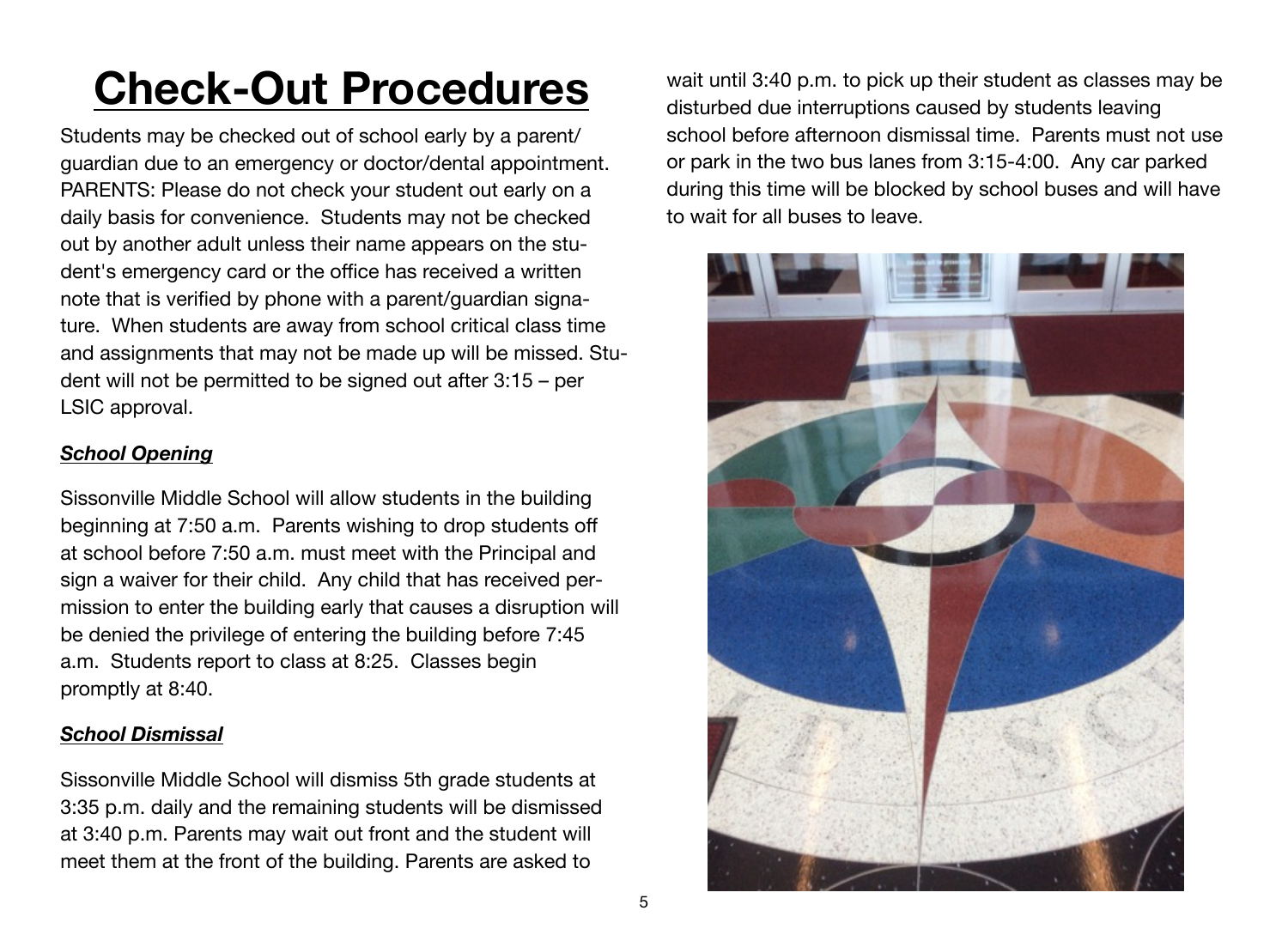# **Check-Out Procedures**

Students may be checked out of school early by a parent/ guardian due to an emergency or doctor/dental appointment. PARENTS: Please do not check your student out early on a daily basis for convenience. Students may not be checked out by another adult unless their name appears on the student's emergency card or the office has received a written note that is verified by phone with a parent/guardian signature. When students are away from school critical class time and assignments that may not be made up will be missed. Student will not be permitted to be signed out after 3:15 – per LSIC approval.

# *School Opening*

Sissonville Middle School will allow students in the building beginning at 7:50 a.m. Parents wishing to drop students off at school before 7:50 a.m. must meet with the Principal and sign a waiver for their child. Any child that has received permission to enter the building early that causes a disruption will be denied the privilege of entering the building before 7:45 a.m. Students report to class at 8:25. Classes begin promptly at 8:40.

# *School Dismissal*

Sissonville Middle School will dismiss 5th grade students at 3:35 p.m. daily and the remaining students will be dismissed at 3:40 p.m. Parents may wait out front and the student will meet them at the front of the building. Parents are asked to

wait until 3:40 p.m. to pick up their student as classes may be disturbed due interruptions caused by students leaving school before afternoon dismissal time. Parents must not use or park in the two bus lanes from 3:15-4:00. Any car parked during this time will be blocked by school buses and will have to wait for all buses to leave.

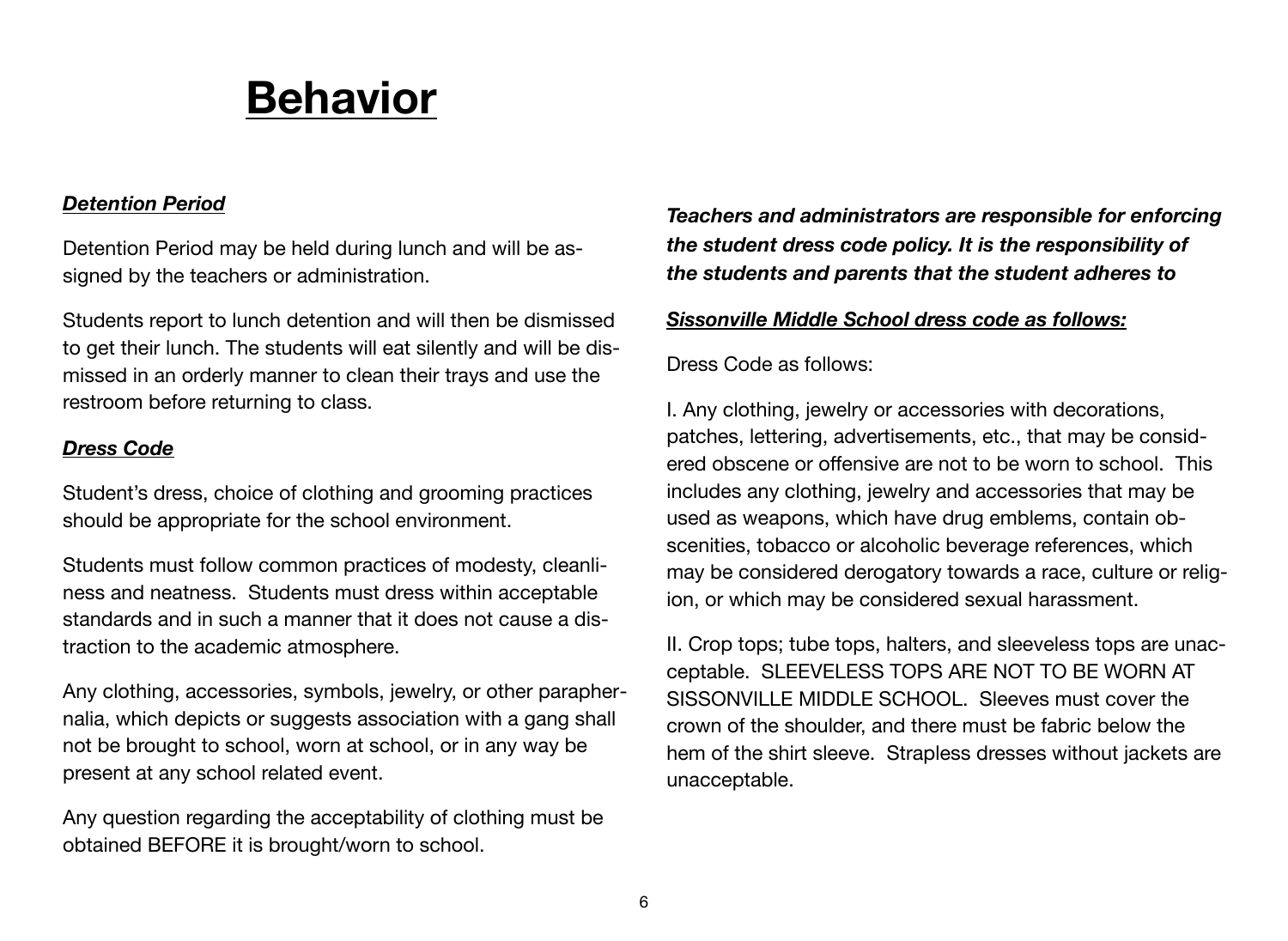# **Behavior**

#### *Detention Period*

Detention Period may be held during lunch and will be assigned by the teachers or administration.

Students report to lunch detention and will then be dismissed to get their lunch. The students will eat silently and will be dismissed in an orderly manner to clean their trays and use the restroom before returning to class.

### *Dress Code*

Student's dress, choice of clothing and grooming practices should be appropriate for the school environment.

Students must follow common practices of modesty, cleanliness and neatness. Students must dress within acceptable standards and in such a manner that it does not cause a distraction to the academic atmosphere.

Any clothing, accessories, symbols, jewelry, or other paraphernalia, which depicts or suggests association with a gang shall not be brought to school, worn at school, or in any way be present at any school related event.

Any question regarding the acceptability of clothing must be obtained BEFORE it is brought/worn to school.

*Teachers and administrators are responsible for enforcing the student dress code policy. It is the responsibility of the students and parents that the student adheres to* 

#### *Sissonville Middle School dress code as follows:*

Dress Code as follows:

I. Any clothing, jewelry or accessories with decorations, patches, lettering, advertisements, etc., that may be considered obscene or offensive are not to be worn to school. This includes any clothing, jewelry and accessories that may be used as weapons, which have drug emblems, contain obscenities, tobacco or alcoholic beverage references, which may be considered derogatory towards a race, culture or religion, or which may be considered sexual harassment.

II. Crop tops; tube tops, halters, and sleeveless tops are unacceptable. SLEEVELESS TOPS ARE NOT TO BE WORN AT SISSONVILLE MIDDLE SCHOOL. Sleeves must cover the crown of the shoulder, and there must be fabric below the hem of the shirt sleeve. Strapless dresses without jackets are unacceptable.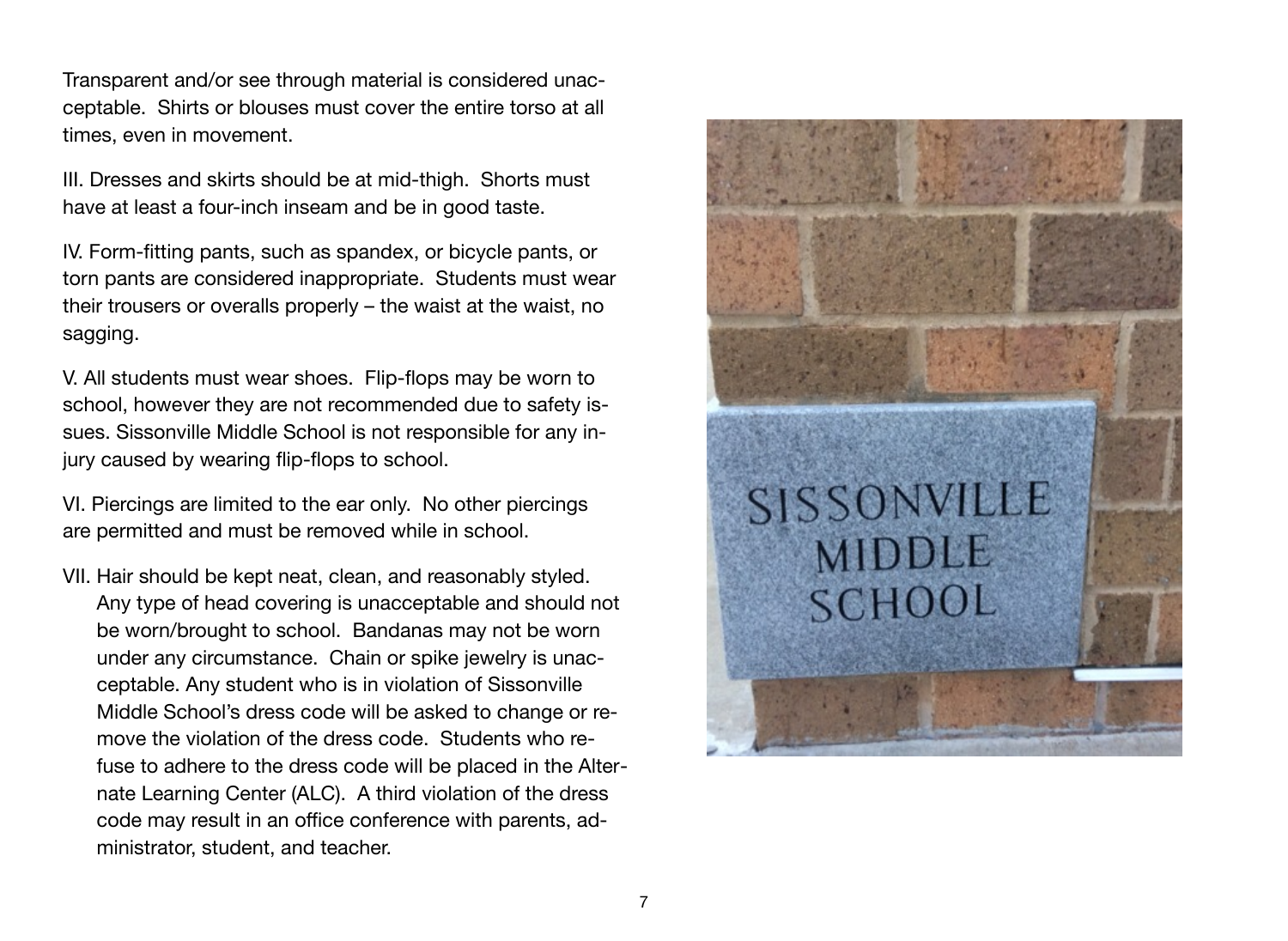Transparent and/or see through material is considered unacceptable. Shirts or blouses must cover the entire torso at all times, even in movement.

III. Dresses and skirts should be at mid-thigh. Shorts must have at least a four-inch inseam and be in good taste.

IV. Form-fitting pants, such as spandex, or bicycle pants, or torn pants are considered inappropriate. Students must wear their trousers or overalls properly – the waist at the waist, no sagging.

V. All students must wear shoes. Flip-flops may be worn to school, however they are not recommended due to safety issues. Sissonville Middle School is not responsible for any injury caused by wearing flip-flops to school.

VI. Piercings are limited to the ear only. No other piercings are permitted and must be removed while in school.

VII. Hair should be kept neat, clean, and reasonably styled. Any type of head covering is unacceptable and should not be worn/brought to school. Bandanas may not be worn under any circumstance. Chain or spike jewelry is unacceptable. Any student who is in violation of Sissonville Middle School's dress code will be asked to change or remove the violation of the dress code. Students who refuse to adhere to the dress code will be placed in the Alternate Learning Center (ALC). A third violation of the dress code may result in an office conference with parents, administrator, student, and teacher.

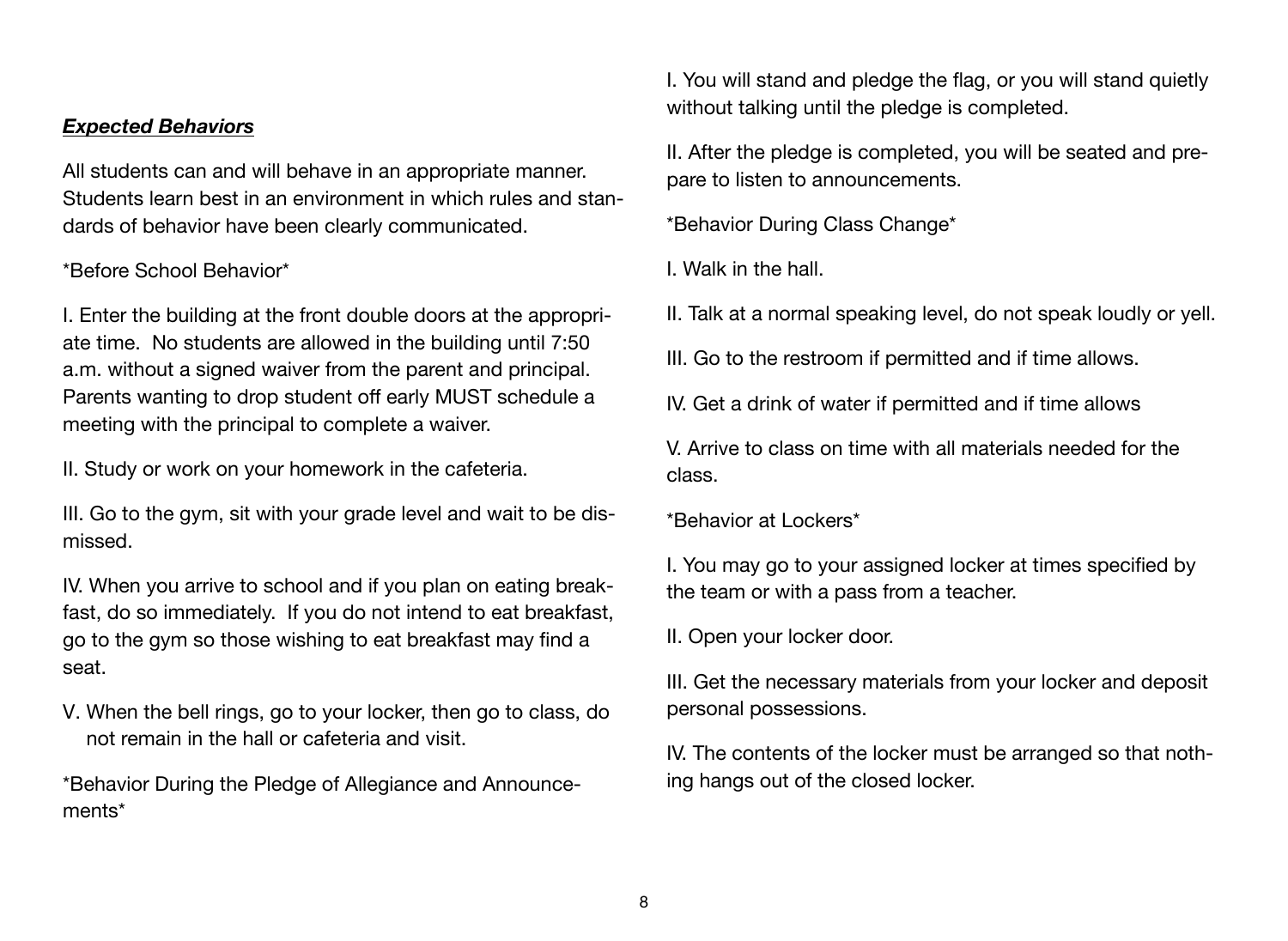#### *Expected Behaviors*

All students can and will behave in an appropriate manner. Students learn best in an environment in which rules and standards of behavior have been clearly communicated.

# \*Before School Behavior\*

I. Enter the building at the front double doors at the appropriate time. No students are allowed in the building until 7:50 a.m. without a signed waiver from the parent and principal. Parents wanting to drop student off early MUST schedule a meeting with the principal to complete a waiver.

II. Study or work on your homework in the cafeteria.

III. Go to the gym, sit with your grade level and wait to be dismissed.

IV. When you arrive to school and if you plan on eating breakfast, do so immediately. If you do not intend to eat breakfast, go to the gym so those wishing to eat breakfast may find a seat.

V. When the bell rings, go to your locker, then go to class, do not remain in the hall or cafeteria and visit.

\*Behavior During the Pledge of Allegiance and Announcements\*

I. You will stand and pledge the flag, or you will stand quietly without talking until the pledge is completed.

II. After the pledge is completed, you will be seated and prepare to listen to announcements.

\*Behavior During Class Change\*

I. Walk in the hall.

II. Talk at a normal speaking level, do not speak loudly or yell.

III. Go to the restroom if permitted and if time allows.

IV. Get a drink of water if permitted and if time allows

V. Arrive to class on time with all materials needed for the class.

\*Behavior at Lockers\*

I. You may go to your assigned locker at times specified by the team or with a pass from a teacher.

II. Open your locker door.

III. Get the necessary materials from your locker and deposit personal possessions.

IV. The contents of the locker must be arranged so that nothing hangs out of the closed locker.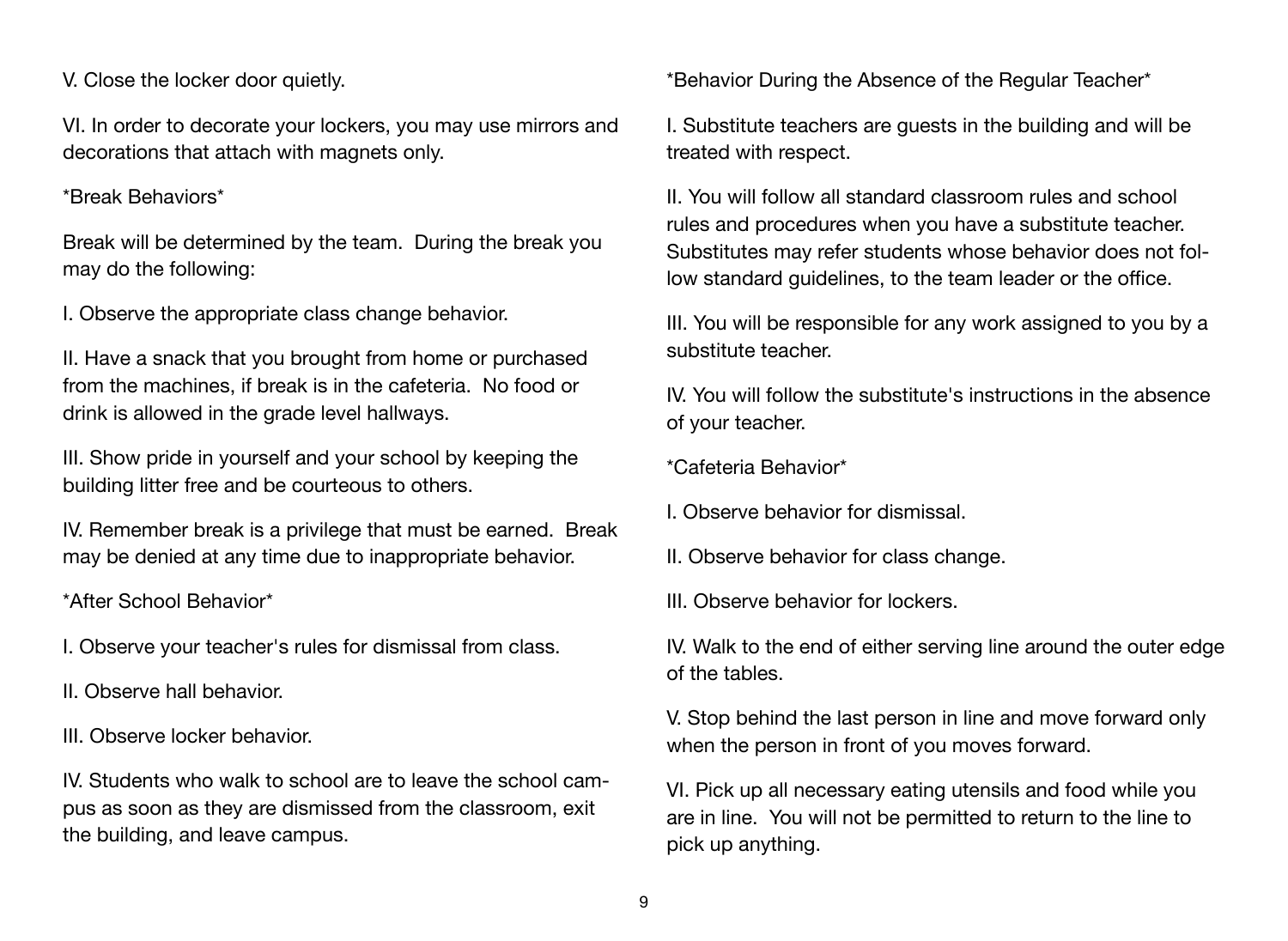V. Close the locker door quietly.

VI. In order to decorate your lockers, you may use mirrors and decorations that attach with magnets only.

#### \*Break Behaviors\*

Break will be determined by the team. During the break you may do the following:

I. Observe the appropriate class change behavior.

II. Have a snack that you brought from home or purchased from the machines, if break is in the cafeteria. No food or drink is allowed in the grade level hallways.

III. Show pride in yourself and your school by keeping the building litter free and be courteous to others.

IV. Remember break is a privilege that must be earned. Break may be denied at any time due to inappropriate behavior.

\*After School Behavior\*

I. Observe your teacher's rules for dismissal from class.

II. Observe hall behavior.

III. Observe locker behavior.

IV. Students who walk to school are to leave the school campus as soon as they are dismissed from the classroom, exit the building, and leave campus.

\*Behavior During the Absence of the Regular Teacher\*

I. Substitute teachers are guests in the building and will be treated with respect.

II. You will follow all standard classroom rules and school rules and procedures when you have a substitute teacher. Substitutes may refer students whose behavior does not follow standard guidelines, to the team leader or the office.

III. You will be responsible for any work assigned to you by a substitute teacher.

IV. You will follow the substitute's instructions in the absence of your teacher.

\*Cafeteria Behavior\*

I. Observe behavior for dismissal.

II. Observe behavior for class change.

III. Observe behavior for lockers.

IV. Walk to the end of either serving line around the outer edge of the tables.

V. Stop behind the last person in line and move forward only when the person in front of you moves forward.

VI. Pick up all necessary eating utensils and food while you are in line. You will not be permitted to return to the line to pick up anything.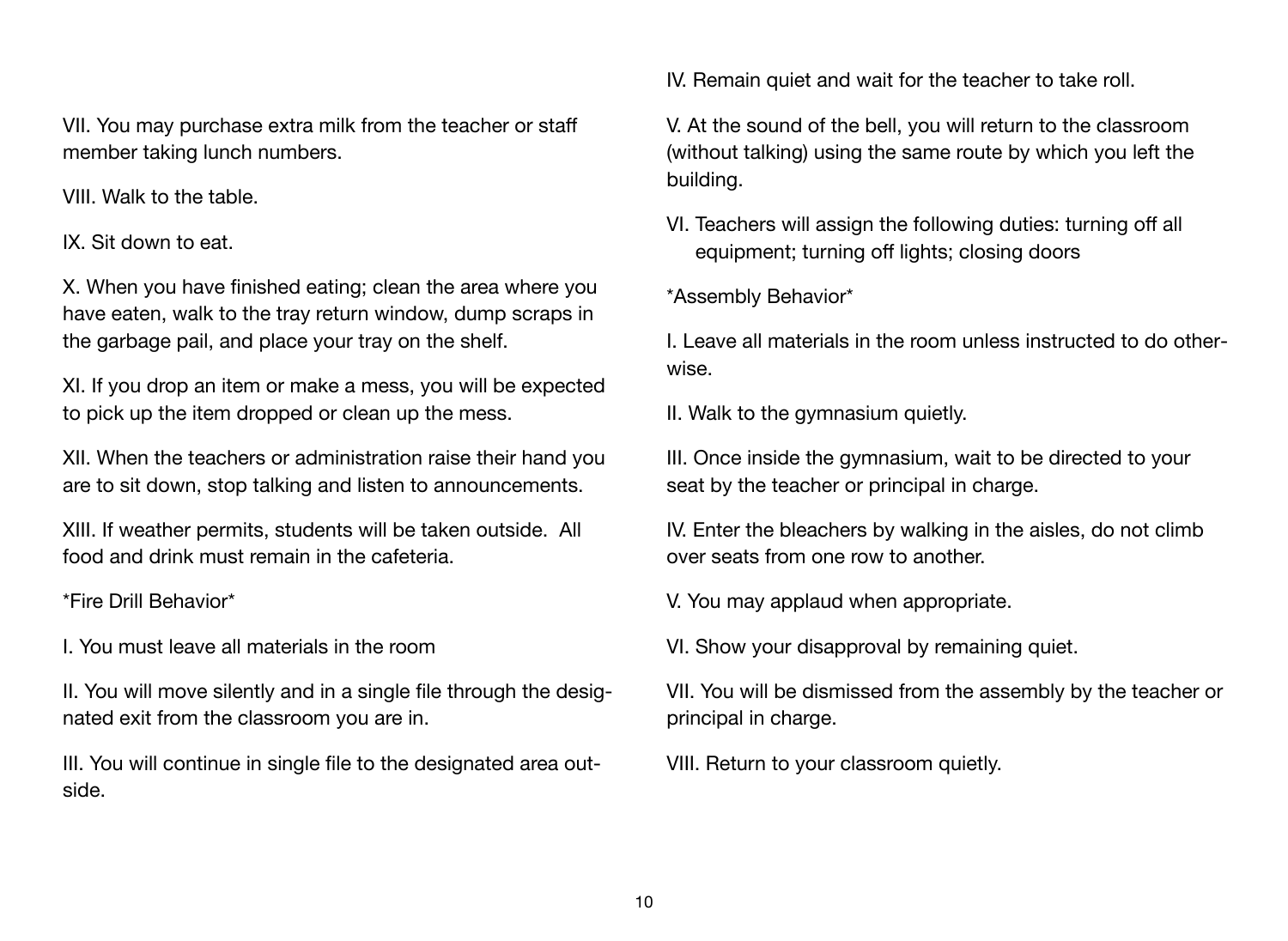VII. You may purchase extra milk from the teacher or staff member taking lunch numbers.

VIII. Walk to the table.

IX. Sit down to eat.

X. When you have finished eating; clean the area where you have eaten, walk to the tray return window, dump scraps in the garbage pail, and place your tray on the shelf.

XI. If you drop an item or make a mess, you will be expected to pick up the item dropped or clean up the mess.

XII. When the teachers or administration raise their hand you are to sit down, stop talking and listen to announcements.

XIII. If weather permits, students will be taken outside. All food and drink must remain in the cafeteria.

\*Fire Drill Behavior\*

I. You must leave all materials in the room

II. You will move silently and in a single file through the designated exit from the classroom you are in.

III. You will continue in single file to the designated area outside.

IV. Remain quiet and wait for the teacher to take roll.

V. At the sound of the bell, you will return to the classroom (without talking) using the same route by which you left the building.

VI. Teachers will assign the following duties: turning off all equipment; turning off lights; closing doors

\*Assembly Behavior\*

I. Leave all materials in the room unless instructed to do otherwise.

II. Walk to the gymnasium quietly.

III. Once inside the gymnasium, wait to be directed to your seat by the teacher or principal in charge.

IV. Enter the bleachers by walking in the aisles, do not climb over seats from one row to another.

V. You may applaud when appropriate.

VI. Show your disapproval by remaining quiet.

VII. You will be dismissed from the assembly by the teacher or principal in charge.

VIII. Return to your classroom quietly.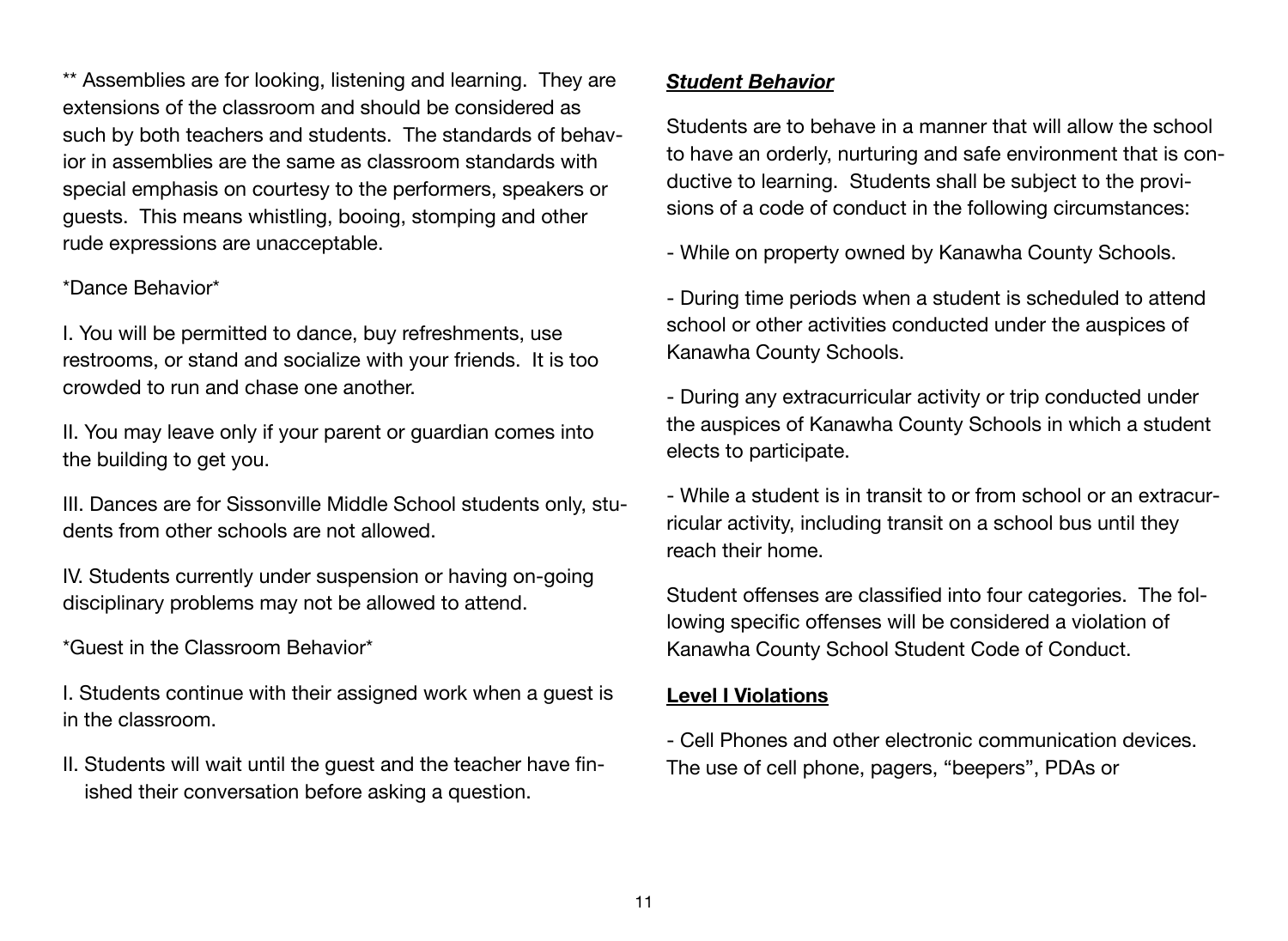\*\* Assemblies are for looking, listening and learning. They are extensions of the classroom and should be considered as such by both teachers and students. The standards of behavior in assemblies are the same as classroom standards with special emphasis on courtesy to the performers, speakers or guests. This means whistling, booing, stomping and other rude expressions are unacceptable.

### \*Dance Behavior\*

I. You will be permitted to dance, buy refreshments, use restrooms, or stand and socialize with your friends. It is too crowded to run and chase one another.

II. You may leave only if your parent or guardian comes into the building to get you.

III. Dances are for Sissonville Middle School students only, students from other schools are not allowed.

IV. Students currently under suspension or having on-going disciplinary problems may not be allowed to attend.

\*Guest in the Classroom Behavior\*

I. Students continue with their assigned work when a guest is in the classroom.

II. Students will wait until the guest and the teacher have finished their conversation before asking a question.

# *Student Behavior*

Students are to behave in a manner that will allow the school to have an orderly, nurturing and safe environment that is conductive to learning. Students shall be subject to the provisions of a code of conduct in the following circumstances:

- While on property owned by Kanawha County Schools.

- During time periods when a student is scheduled to attend school or other activities conducted under the auspices of Kanawha County Schools.

- During any extracurricular activity or trip conducted under the auspices of Kanawha County Schools in which a student elects to participate.

- While a student is in transit to or from school or an extracurricular activity, including transit on a school bus until they reach their home.

Student offenses are classified into four categories. The following specific offenses will be considered a violation of Kanawha County School Student Code of Conduct.

### **Level I Violations**

- Cell Phones and other electronic communication devices. The use of cell phone, pagers, "beepers", PDAs or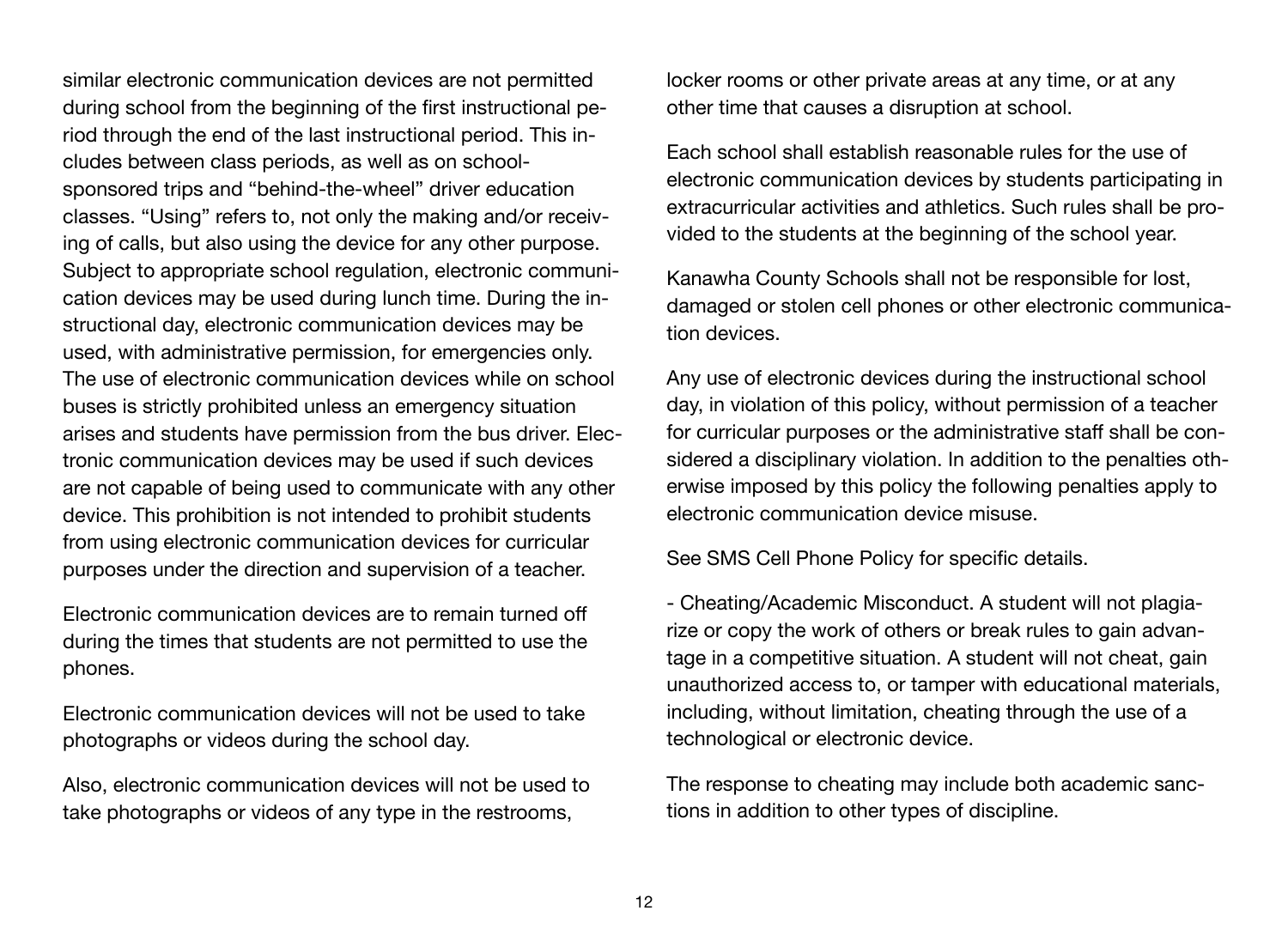similar electronic communication devices are not permitted during school from the beginning of the first instructional period through the end of the last instructional period. This includes between class periods, as well as on schoolsponsored trips and "behind-the-wheel" driver education classes. "Using" refers to, not only the making and/or receiving of calls, but also using the device for any other purpose. Subject to appropriate school regulation, electronic communication devices may be used during lunch time. During the instructional day, electronic communication devices may be used, with administrative permission, for emergencies only. The use of electronic communication devices while on school buses is strictly prohibited unless an emergency situation arises and students have permission from the bus driver. Electronic communication devices may be used if such devices are not capable of being used to communicate with any other device. This prohibition is not intended to prohibit students from using electronic communication devices for curricular purposes under the direction and supervision of a teacher.

Electronic communication devices are to remain turned off during the times that students are not permitted to use the phones.

Electronic communication devices will not be used to take photographs or videos during the school day.

Also, electronic communication devices will not be used to take photographs or videos of any type in the restrooms,

locker rooms or other private areas at any time, or at any other time that causes a disruption at school.

Each school shall establish reasonable rules for the use of electronic communication devices by students participating in extracurricular activities and athletics. Such rules shall be provided to the students at the beginning of the school year.

Kanawha County Schools shall not be responsible for lost, damaged or stolen cell phones or other electronic communication devices.

Any use of electronic devices during the instructional school day, in violation of this policy, without permission of a teacher for curricular purposes or the administrative staff shall be considered a disciplinary violation. In addition to the penalties otherwise imposed by this policy the following penalties apply to electronic communication device misuse.

See SMS Cell Phone Policy for specific details.

- Cheating/Academic Misconduct. A student will not plagiarize or copy the work of others or break rules to gain advantage in a competitive situation. A student will not cheat, gain unauthorized access to, or tamper with educational materials, including, without limitation, cheating through the use of a technological or electronic device.

The response to cheating may include both academic sanctions in addition to other types of discipline.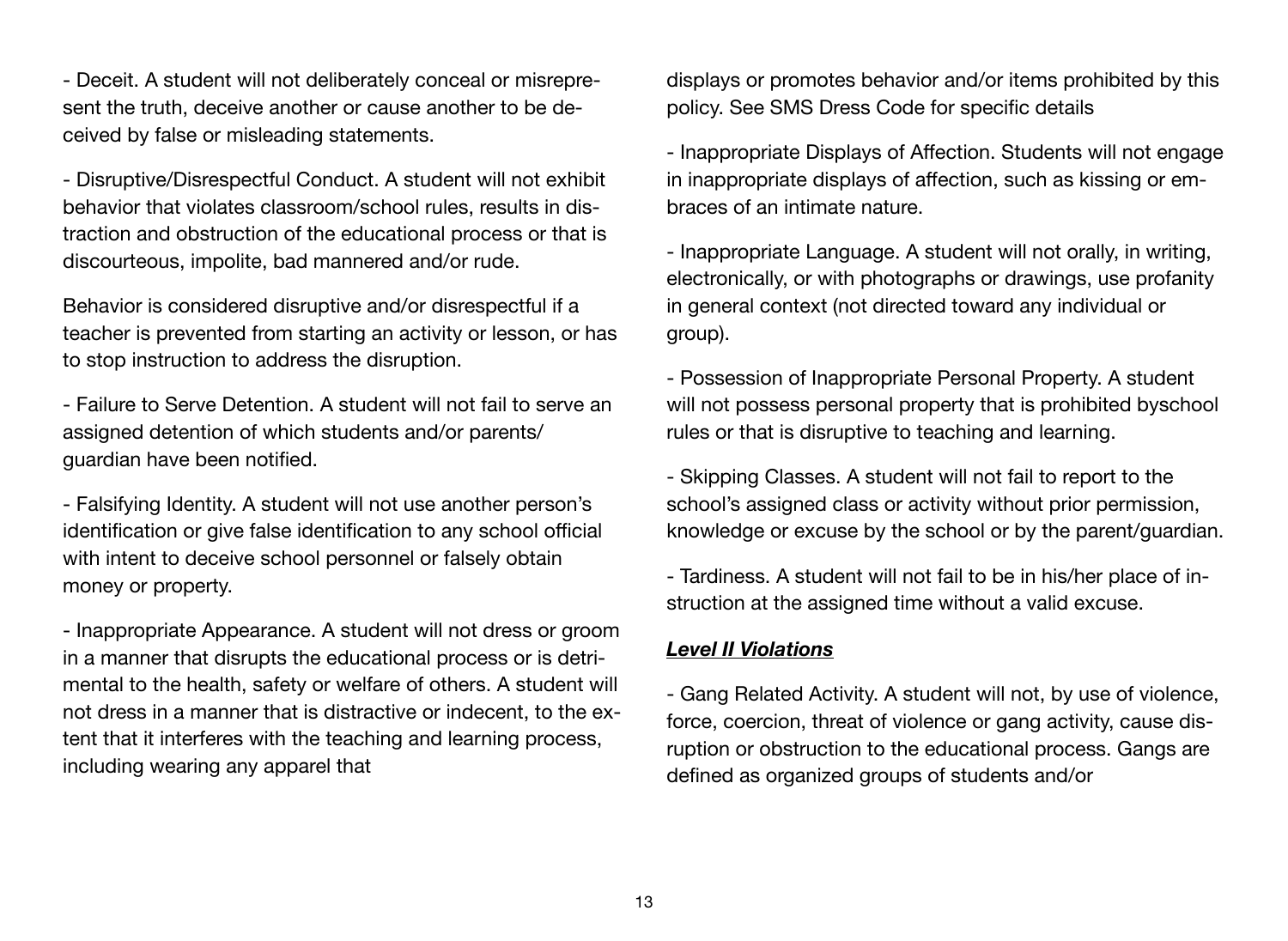- Deceit. A student will not deliberately conceal or misrepresent the truth, deceive another or cause another to be deceived by false or misleading statements.

- Disruptive/Disrespectful Conduct. A student will not exhibit behavior that violates classroom/school rules, results in distraction and obstruction of the educational process or that is discourteous, impolite, bad mannered and/or rude.

Behavior is considered disruptive and/or disrespectful if a teacher is prevented from starting an activity or lesson, or has to stop instruction to address the disruption.

- Failure to Serve Detention. A student will not fail to serve an assigned detention of which students and/or parents/ guardian have been notified.

- Falsifying Identity. A student will not use another person's identification or give false identification to any school official with intent to deceive school personnel or falsely obtain money or property.

- Inappropriate Appearance. A student will not dress or groom in a manner that disrupts the educational process or is detrimental to the health, safety or welfare of others. A student will not dress in a manner that is distractive or indecent, to the extent that it interferes with the teaching and learning process, including wearing any apparel that

displays or promotes behavior and/or items prohibited by this policy. See SMS Dress Code for specific details

- Inappropriate Displays of Affection. Students will not engage in inappropriate displays of affection, such as kissing or embraces of an intimate nature.

- Inappropriate Language. A student will not orally, in writing, electronically, or with photographs or drawings, use profanity in general context (not directed toward any individual or group).

- Possession of Inappropriate Personal Property. A student will not possess personal property that is prohibited byschool rules or that is disruptive to teaching and learning.

- Skipping Classes. A student will not fail to report to the school's assigned class or activity without prior permission, knowledge or excuse by the school or by the parent/guardian.

- Tardiness. A student will not fail to be in his/her place of instruction at the assigned time without a valid excuse.

#### *Level II Violations*

- Gang Related Activity. A student will not, by use of violence, force, coercion, threat of violence or gang activity, cause disruption or obstruction to the educational process. Gangs are defined as organized groups of students and/or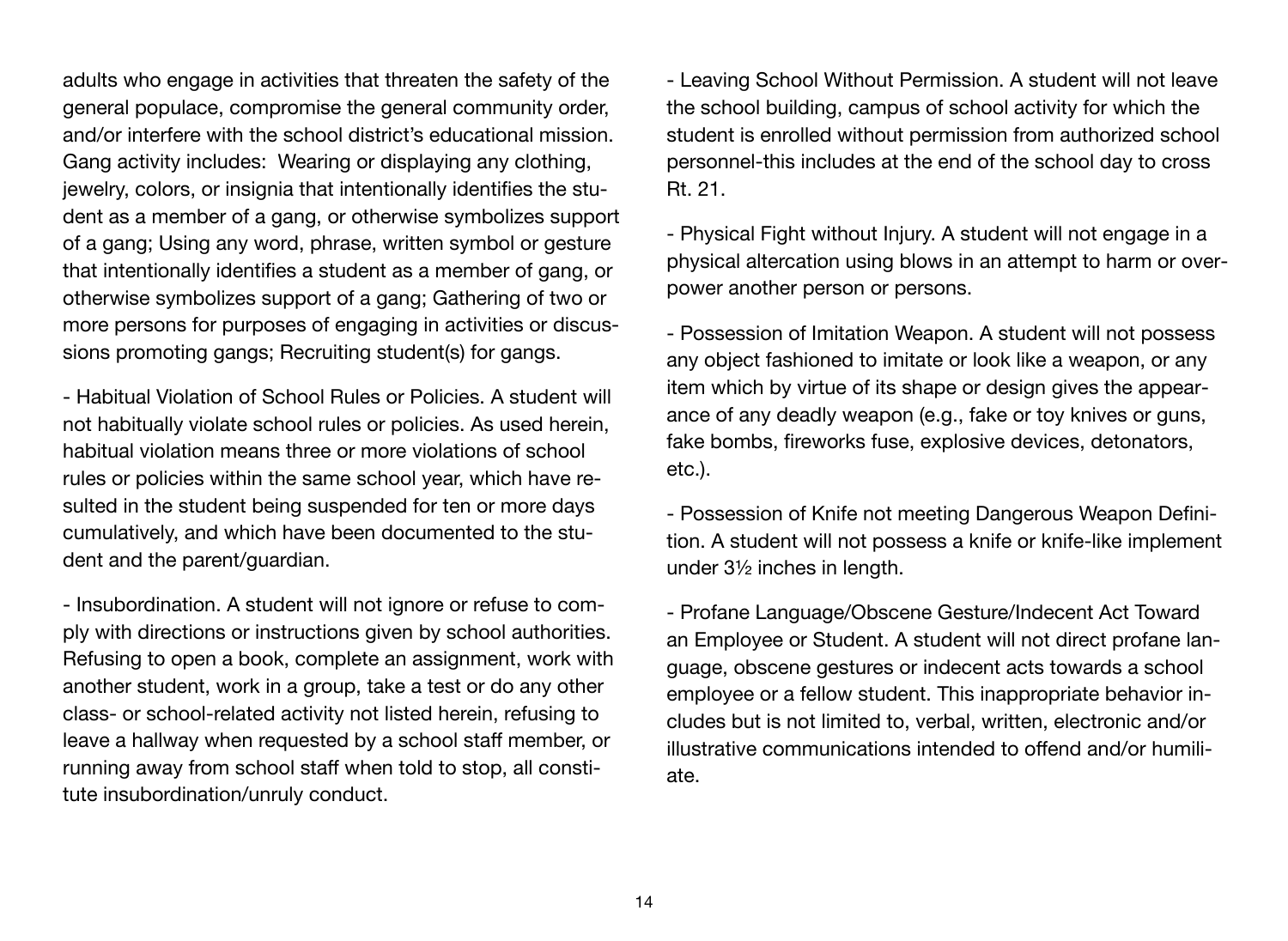adults who engage in activities that threaten the safety of the general populace, compromise the general community order, and/or interfere with the school district's educational mission. Gang activity includes: Wearing or displaying any clothing, jewelry, colors, or insignia that intentionally identifies the student as a member of a gang, or otherwise symbolizes support of a gang; Using any word, phrase, written symbol or gesture that intentionally identifies a student as a member of gang, or otherwise symbolizes support of a gang; Gathering of two or more persons for purposes of engaging in activities or discussions promoting gangs; Recruiting student(s) for gangs.

- Habitual Violation of School Rules or Policies. A student will not habitually violate school rules or policies. As used herein, habitual violation means three or more violations of school rules or policies within the same school year, which have resulted in the student being suspended for ten or more days cumulatively, and which have been documented to the student and the parent/guardian.

- Insubordination. A student will not ignore or refuse to comply with directions or instructions given by school authorities. Refusing to open a book, complete an assignment, work with another student, work in a group, take a test or do any other class- or school-related activity not listed herein, refusing to leave a hallway when requested by a school staff member, or running away from school staff when told to stop, all constitute insubordination/unruly conduct.

- Leaving School Without Permission. A student will not leave the school building, campus of school activity for which the student is enrolled without permission from authorized school personnel-this includes at the end of the school day to cross Rt. 21.

- Physical Fight without Injury. A student will not engage in a physical altercation using blows in an attempt to harm or overpower another person or persons.

- Possession of Imitation Weapon. A student will not possess any object fashioned to imitate or look like a weapon, or any item which by virtue of its shape or design gives the appearance of any deadly weapon (e.g., fake or toy knives or guns, fake bombs, fireworks fuse, explosive devices, detonators, etc.).

- Possession of Knife not meeting Dangerous Weapon Definition. A student will not possess a knife or knife-like implement under 3½ inches in length.

- Profane Language/Obscene Gesture/Indecent Act Toward an Employee or Student. A student will not direct profane language, obscene gestures or indecent acts towards a school employee or a fellow student. This inappropriate behavior includes but is not limited to, verbal, written, electronic and/or illustrative communications intended to offend and/or humiliate.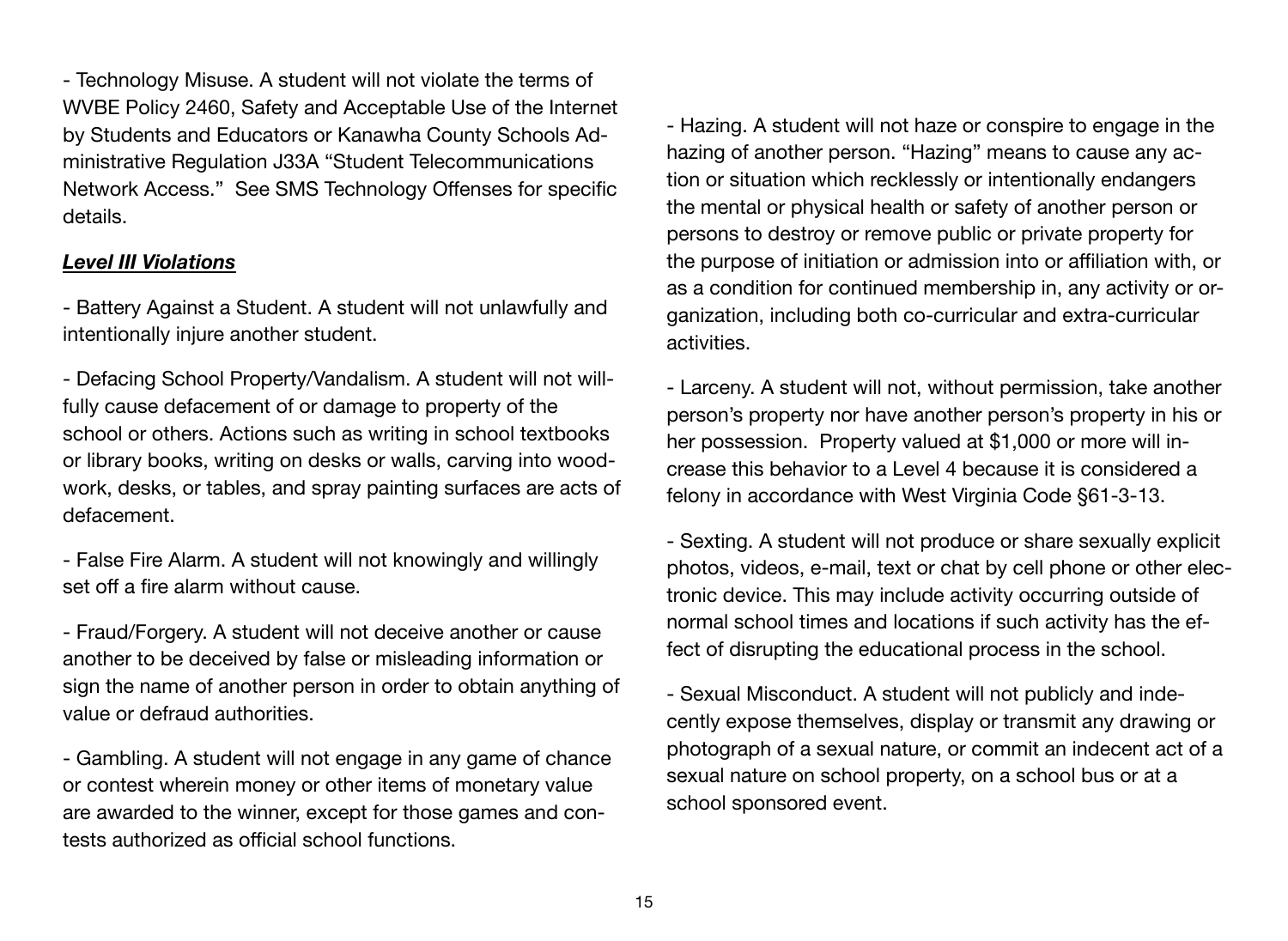- Technology Misuse. A student will not violate the terms of WVBE Policy 2460, Safety and Acceptable Use of the Internet by Students and Educators or Kanawha County Schools Administrative Regulation J33A "Student Telecommunications Network Access." See SMS Technology Offenses for specific details.

# *Level III Violations*

- Battery Against a Student. A student will not unlawfully and intentionally injure another student.

- Defacing School Property/Vandalism. A student will not willfully cause defacement of or damage to property of the school or others. Actions such as writing in school textbooks or library books, writing on desks or walls, carving into woodwork, desks, or tables, and spray painting surfaces are acts of defacement.

- False Fire Alarm. A student will not knowingly and willingly set off a fire alarm without cause.

- Fraud/Forgery. A student will not deceive another or cause another to be deceived by false or misleading information or sign the name of another person in order to obtain anything of value or defraud authorities.

- Gambling. A student will not engage in any game of chance or contest wherein money or other items of monetary value are awarded to the winner, except for those games and contests authorized as official school functions.

- Hazing. A student will not haze or conspire to engage in the hazing of another person. "Hazing" means to cause any action or situation which recklessly or intentionally endangers the mental or physical health or safety of another person or persons to destroy or remove public or private property for the purpose of initiation or admission into or affiliation with, or as a condition for continued membership in, any activity or organization, including both co-curricular and extra-curricular activities.

- Larceny. A student will not, without permission, take another person's property nor have another person's property in his or her possession. Property valued at \$1,000 or more will increase this behavior to a Level 4 because it is considered a felony in accordance with West Virginia Code §61-3-13.

- Sexting. A student will not produce or share sexually explicit photos, videos, e-mail, text or chat by cell phone or other electronic device. This may include activity occurring outside of normal school times and locations if such activity has the effect of disrupting the educational process in the school.

- Sexual Misconduct. A student will not publicly and indecently expose themselves, display or transmit any drawing or photograph of a sexual nature, or commit an indecent act of a sexual nature on school property, on a school bus or at a school sponsored event.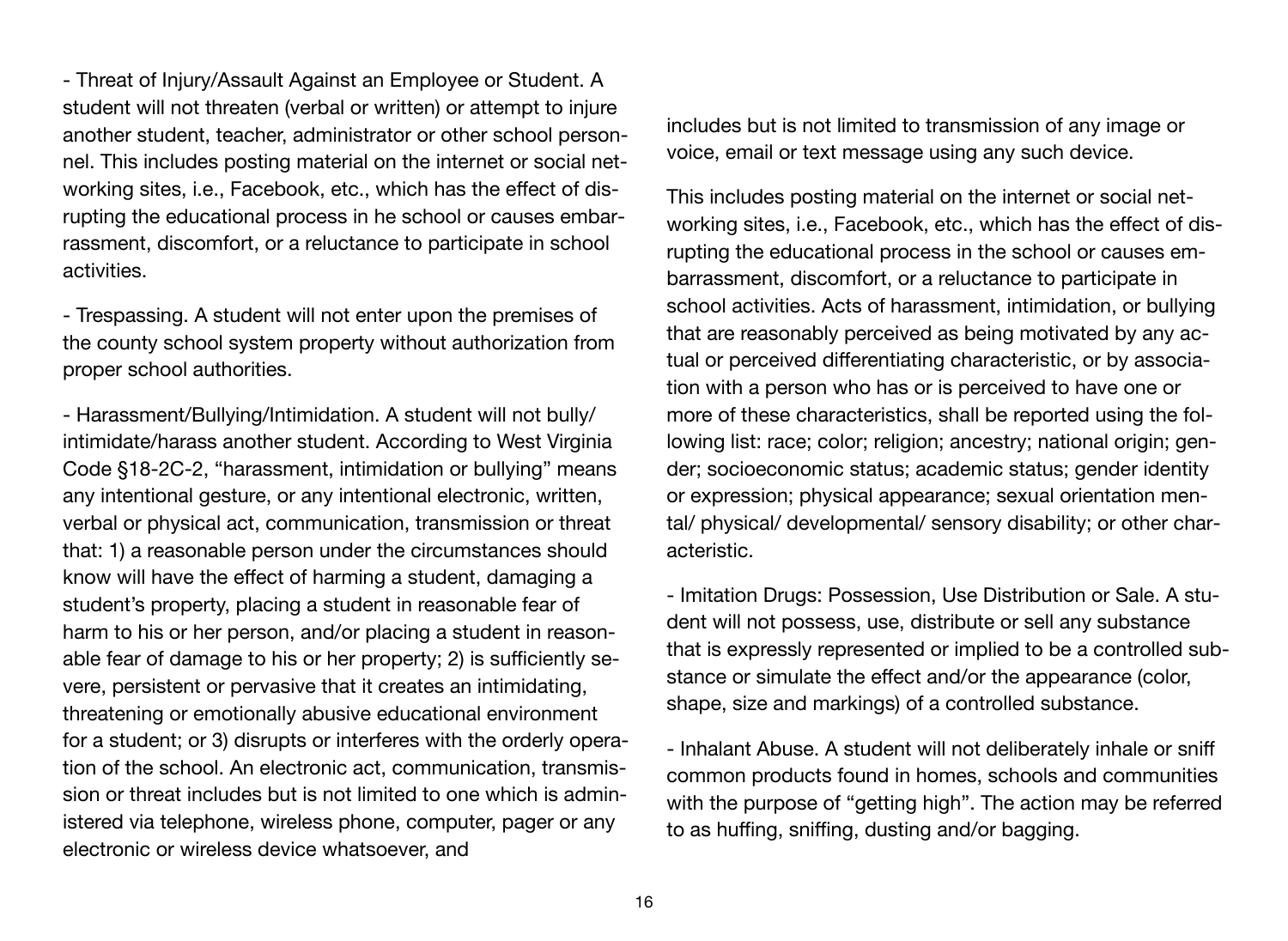- Threat of Injury/Assault Against an Employee or Student. A student will not threaten (verbal or written) or attempt to injure another student, teacher, administrator or other school personnel. This includes posting material on the internet or social networking sites, i.e., Facebook, etc., which has the effect of disrupting the educational process in he school or causes embarrassment, discomfort, or a reluctance to participate in school activities.

- Trespassing. A student will not enter upon the premises of the county school system property without authorization from proper school authorities.

- Harassment/Bullying/Intimidation. A student will not bully/ intimidate/harass another student. According to West Virginia Code §18-2C-2, "harassment, intimidation or bullying" means any intentional gesture, or any intentional electronic, written, verbal or physical act, communication, transmission or threat that: 1) a reasonable person under the circumstances should know will have the effect of harming a student, damaging a student's property, placing a student in reasonable fear of harm to his or her person, and/or placing a student in reasonable fear of damage to his or her property; 2) is sufficiently severe, persistent or pervasive that it creates an intimidating, threatening or emotionally abusive educational environment for a student; or 3) disrupts or interferes with the orderly operation of the school. An electronic act, communication, transmission or threat includes but is not limited to one which is administered via telephone, wireless phone, computer, pager or any electronic or wireless device whatsoever, and

includes but is not limited to transmission of any image or voice, email or text message using any such device.

This includes posting material on the internet or social networking sites, i.e., Facebook, etc., which has the effect of disrupting the educational process in the school or causes embarrassment, discomfort, or a reluctance to participate in school activities. Acts of harassment, intimidation, or bullying that are reasonably perceived as being motivated by any actual or perceived differentiating characteristic, or by association with a person who has or is perceived to have one or more of these characteristics, shall be reported using the following list: race; color; religion; ancestry; national origin; gender; socioeconomic status; academic status; gender identity or expression; physical appearance; sexual orientation mental/ physical/ developmental/ sensory disability; or other characteristic.

- Imitation Drugs: Possession, Use Distribution or Sale. A student will not possess, use, distribute or sell any substance that is expressly represented or implied to be a controlled substance or simulate the effect and/or the appearance (color, shape, size and markings) of a controlled substance.

- Inhalant Abuse. A student will not deliberately inhale or sniff common products found in homes, schools and communities with the purpose of "getting high". The action may be referred to as huffing, sniffing, dusting and/or bagging.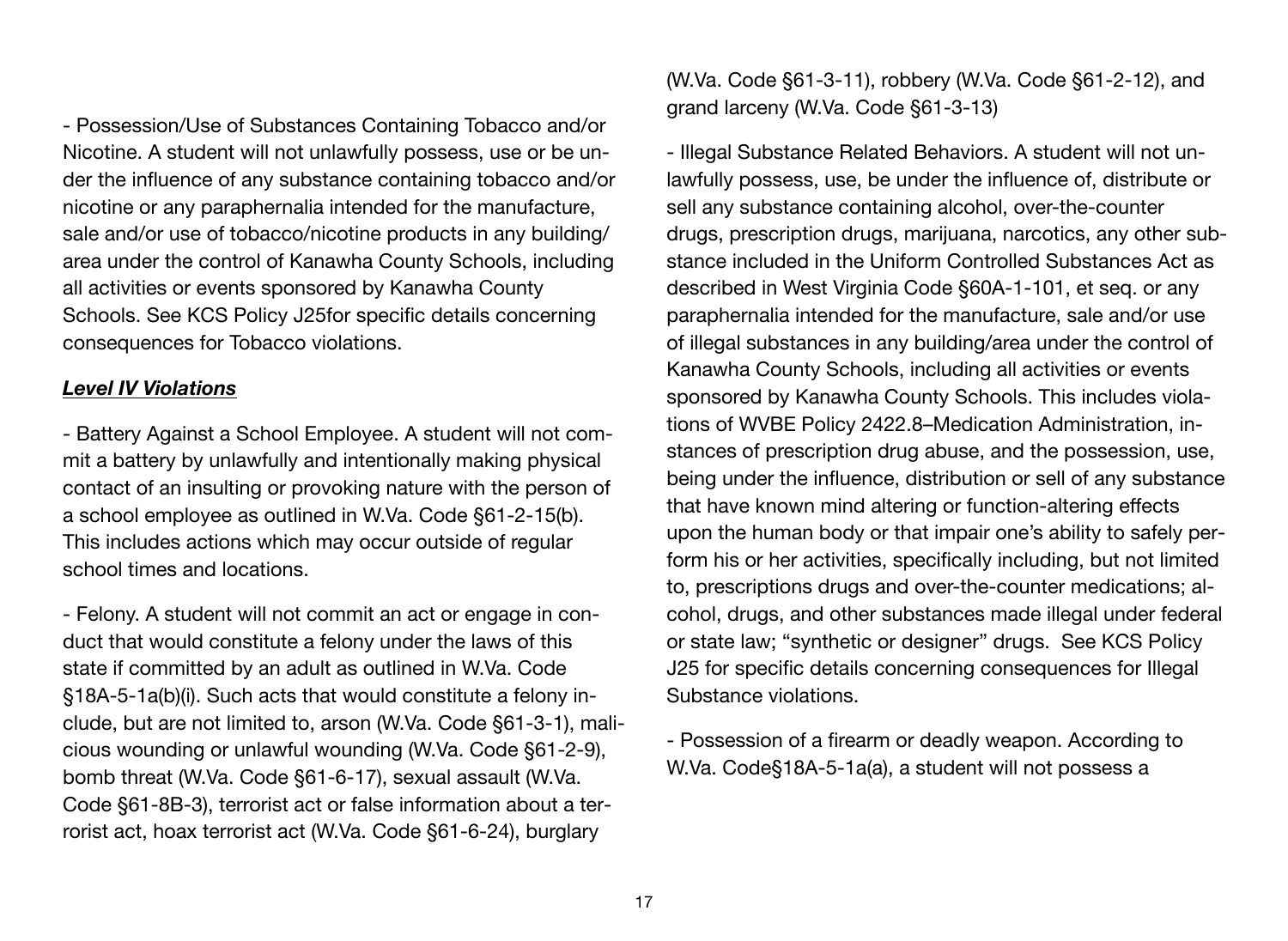- Possession/Use of Substances Containing Tobacco and/or Nicotine. A student will not unlawfully possess, use or be under the influence of any substance containing tobacco and/or nicotine or any paraphernalia intended for the manufacture, sale and/or use of tobacco/nicotine products in any building/ area under the control of Kanawha County Schools, including all activities or events sponsored by Kanawha County Schools. See KCS Policy J25for specific details concerning consequences for Tobacco violations.

# *Level IV Violations*

- Battery Against a School Employee. A student will not commit a battery by unlawfully and intentionally making physical contact of an insulting or provoking nature with the person of a school employee as outlined in W.Va. Code §61-2-15(b). This includes actions which may occur outside of regular school times and locations.

- Felony. A student will not commit an act or engage in conduct that would constitute a felony under the laws of this state if committed by an adult as outlined in W.Va. Code §18A-5-1a(b)(i). Such acts that would constitute a felony include, but are not limited to, arson (W.Va. Code §61-3-1), malicious wounding or unlawful wounding (W.Va. Code §61-2-9), bomb threat (W.Va. Code §61-6-17), sexual assault (W.Va. Code §61-8B-3), terrorist act or false information about a terrorist act, hoax terrorist act (W.Va. Code §61-6-24), burglary

(W.Va. Code §61-3-11), robbery (W.Va. Code §61-2-12), and grand larceny (W.Va. Code §61-3-13)

- Illegal Substance Related Behaviors. A student will not unlawfully possess, use, be under the influence of, distribute or sell any substance containing alcohol, over-the-counter drugs, prescription drugs, marijuana, narcotics, any other substance included in the Uniform Controlled Substances Act as described in West Virginia Code §60A-1-101, et seq. or any paraphernalia intended for the manufacture, sale and/or use of illegal substances in any building/area under the control of Kanawha County Schools, including all activities or events sponsored by Kanawha County Schools. This includes violations of WVBE Policy 2422.8–Medication Administration, instances of prescription drug abuse, and the possession, use, being under the influence, distribution or sell of any substance that have known mind altering or function-altering effects upon the human body or that impair one's ability to safely perform his or her activities, specifically including, but not limited to, prescriptions drugs and over-the-counter medications; alcohol, drugs, and other substances made illegal under federal or state law; "synthetic or designer" drugs. See KCS Policy J25 for specific details concerning consequences for Illegal Substance violations.

- Possession of a firearm or deadly weapon. According to W.Va. Code§18A-5-1a(a), a student will not possess a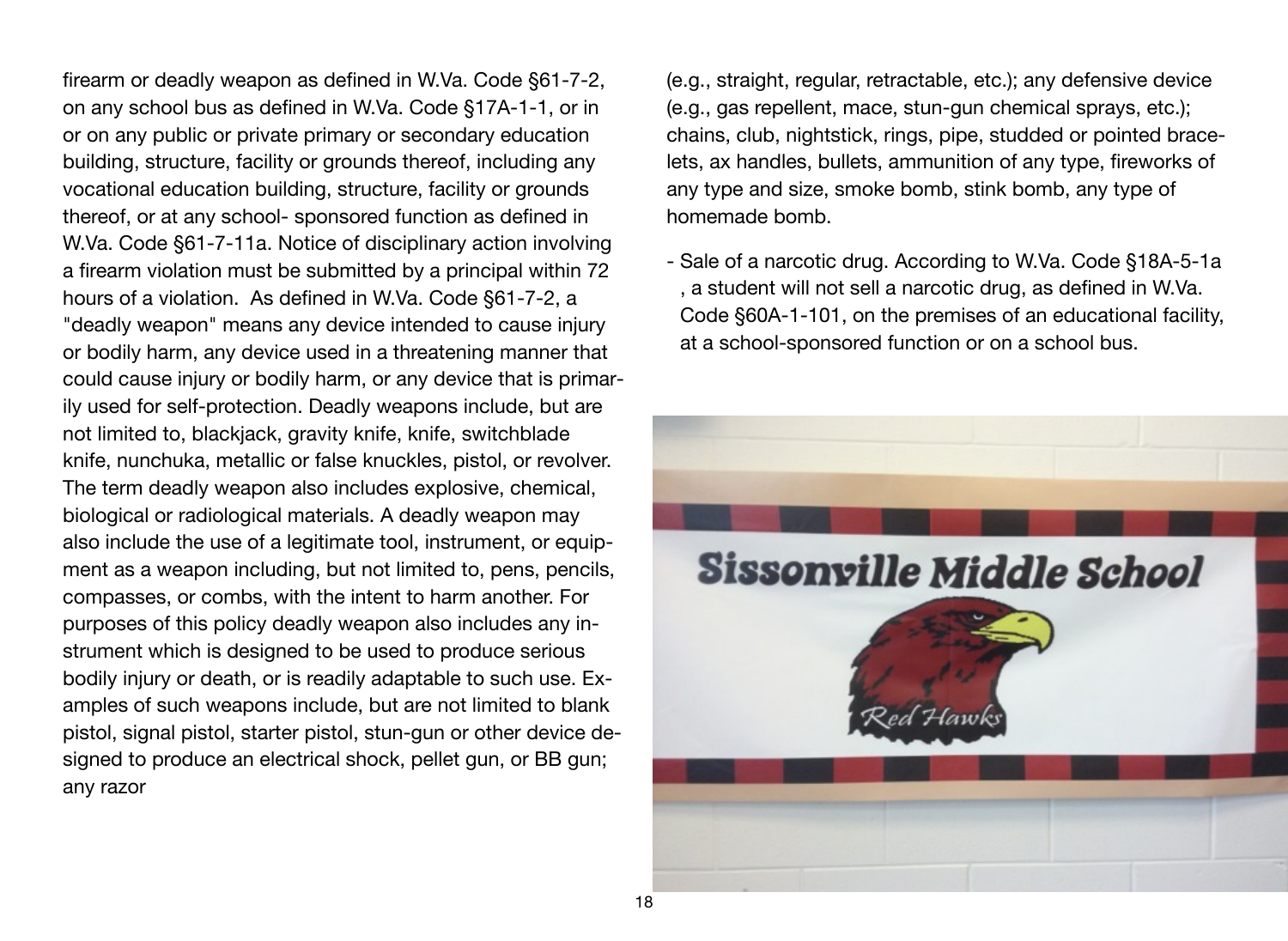firearm or deadly weapon as defined in W.Va. Code §61-7-2, on any school bus as defined in W.Va. Code §17A-1-1, or in or on any public or private primary or secondary education building, structure, facility or grounds thereof, including any vocational education building, structure, facility or grounds thereof, or at any school- sponsored function as defined in W.Va. Code §61-7-11a. Notice of disciplinary action involving a firearm violation must be submitted by a principal within 72 hours of a violation. As defined in W.Va. Code §61-7-2, a "deadly weapon" means any device intended to cause injury or bodily harm, any device used in a threatening manner that could cause injury or bodily harm, or any device that is primarily used for self-protection. Deadly weapons include, but are not limited to, blackjack, gravity knife, knife, switchblade knife, nunchuka, metallic or false knuckles, pistol, or revolver. The term deadly weapon also includes explosive, chemical, biological or radiological materials. A deadly weapon may also include the use of a legitimate tool, instrument, or equipment as a weapon including, but not limited to, pens, pencils, compasses, or combs, with the intent to harm another. For purposes of this policy deadly weapon also includes any instrument which is designed to be used to produce serious bodily injury or death, or is readily adaptable to such use. Examples of such weapons include, but are not limited to blank pistol, signal pistol, starter pistol, stun-gun or other device designed to produce an electrical shock, pellet gun, or BB gun; any razor

(e.g., straight, regular, retractable, etc.); any defensive device (e.g., gas repellent, mace, stun-gun chemical sprays, etc.); chains, club, nightstick, rings, pipe, studded or pointed bracelets, ax handles, bullets, ammunition of any type, fireworks of any type and size, smoke bomb, stink bomb, any type of homemade bomb.

- Sale of a narcotic drug. According to W.Va. Code §18A-5-1a , a student will not sell a narcotic drug, as defined in W.Va. Code §60A-1-101, on the premises of an educational facility, at a school-sponsored function or on a school bus.

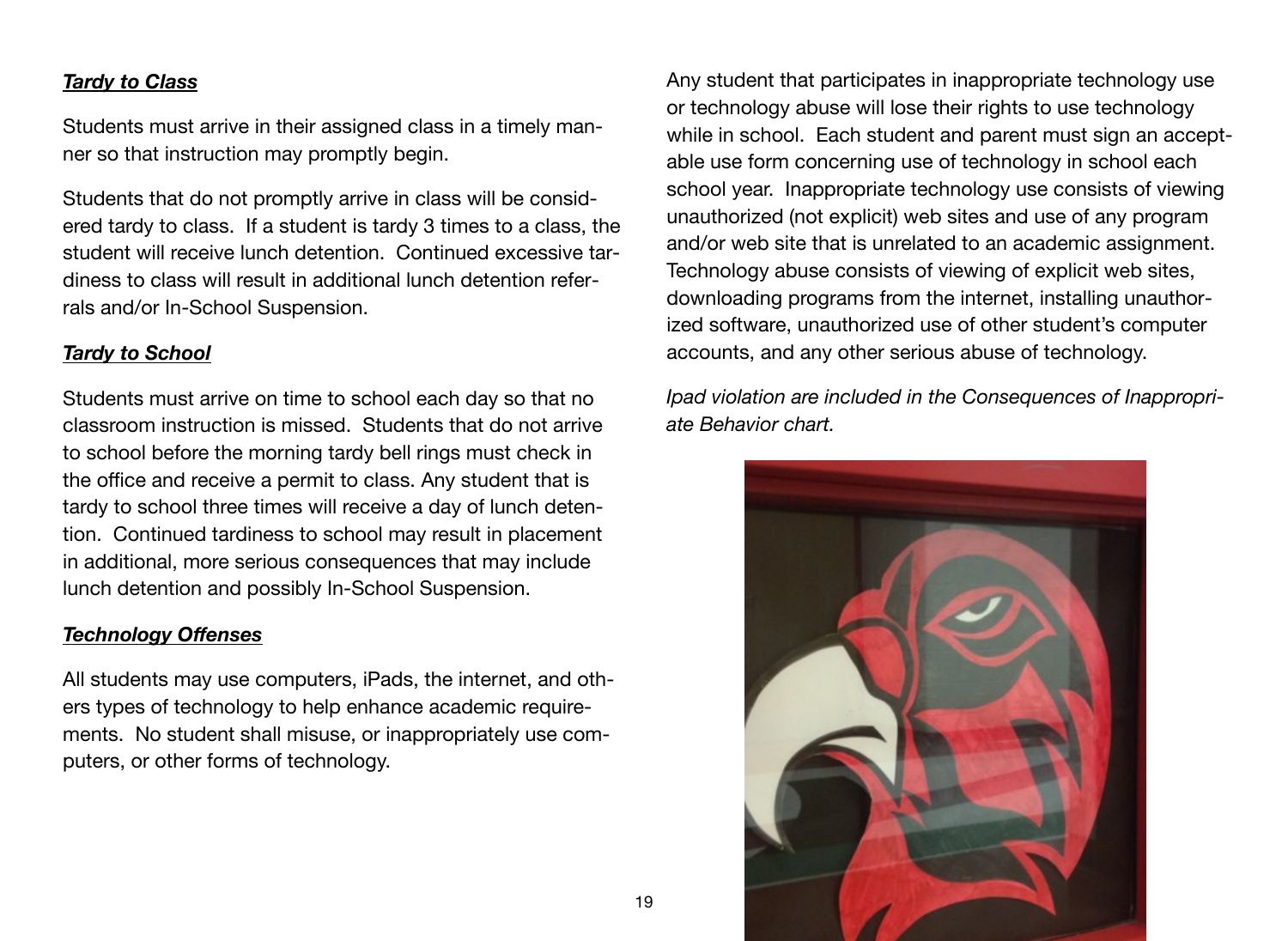### *Tardy to Class*

Students must arrive in their assigned class in a timely manner so that instruction may promptly begin.

Students that do not promptly arrive in class will be considered tardy to class. If a student is tardy 3 times to a class, the student will receive lunch detention. Continued excessive tardiness to class will result in additional lunch detention referrals and/or In-School Suspension.

# *Tardy to School*

Students must arrive on time to school each day so that no classroom instruction is missed. Students that do not arrive to school before the morning tardy bell rings must check in the office and receive a permit to class. Any student that is tardy to school three times will receive a day of lunch detention. Continued tardiness to school may result in placement in additional, more serious consequences that may include lunch detention and possibly In-School Suspension.

# *Technology Offenses*

All students may use computers, iPads, the internet, and others types of technology to help enhance academic requirements. No student shall misuse, or inappropriately use computers, or other forms of technology.

Any student that participates in inappropriate technology use or technology abuse will lose their rights to use technology while in school. Each student and parent must sign an acceptable use form concerning use of technology in school each school year. Inappropriate technology use consists of viewing unauthorized (not explicit) web sites and use of any program and/or web site that is unrelated to an academic assignment. Technology abuse consists of viewing of explicit web sites, downloading programs from the internet, installing unauthorized software, unauthorized use of other student's computer accounts, and any other serious abuse of technology.

*Ipad violation are included in the Consequences of Inappropriate Behavior chart.*

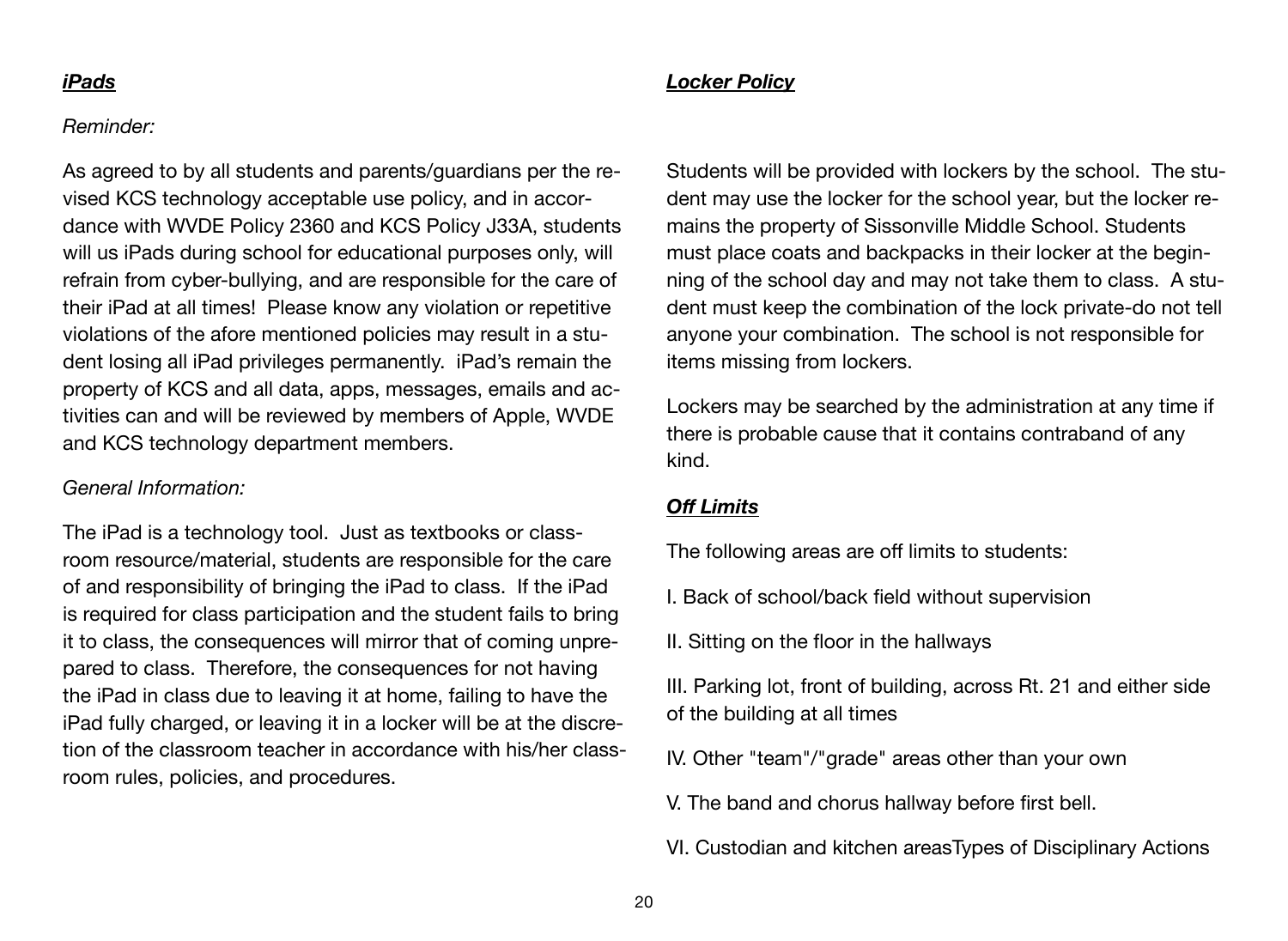#### *iPads*

# *Locker Policy*

#### *Reminder:*

As agreed to by all students and parents/guardians per the revised KCS technology acceptable use policy, and in accordance with WVDE Policy 2360 and KCS Policy J33A, students will us iPads during school for educational purposes only, will refrain from cyber-bullying, and are responsible for the care of their iPad at all times! Please know any violation or repetitive violations of the afore mentioned policies may result in a student losing all iPad privileges permanently. iPad's remain the property of KCS and all data, apps, messages, emails and activities can and will be reviewed by members of Apple, WVDE and KCS technology department members.

#### *General Information:*

The iPad is a technology tool. Just as textbooks or classroom resource/material, students are responsible for the care of and responsibility of bringing the iPad to class. If the iPad is required for class participation and the student fails to bring it to class, the consequences will mirror that of coming unprepared to class. Therefore, the consequences for not having the iPad in class due to leaving it at home, failing to have the iPad fully charged, or leaving it in a locker will be at the discretion of the classroom teacher in accordance with his/her classroom rules, policies, and procedures.

Students will be provided with lockers by the school. The student may use the locker for the school year, but the locker remains the property of Sissonville Middle School. Students must place coats and backpacks in their locker at the beginning of the school day and may not take them to class. A student must keep the combination of the lock private-do not tell anyone your combination. The school is not responsible for items missing from lockers.

Lockers may be searched by the administration at any time if there is probable cause that it contains contraband of any kind.

#### *Off Limits*

The following areas are off limits to students:

- I. Back of school/back field without supervision
- II. Sitting on the floor in the hallways

III. Parking lot, front of building, across Rt. 21 and either side of the building at all times

- IV. Other "team"/"grade" areas other than your own
- V. The band and chorus hallway before first bell.

VI. Custodian and kitchen areasTypes of Disciplinary Actions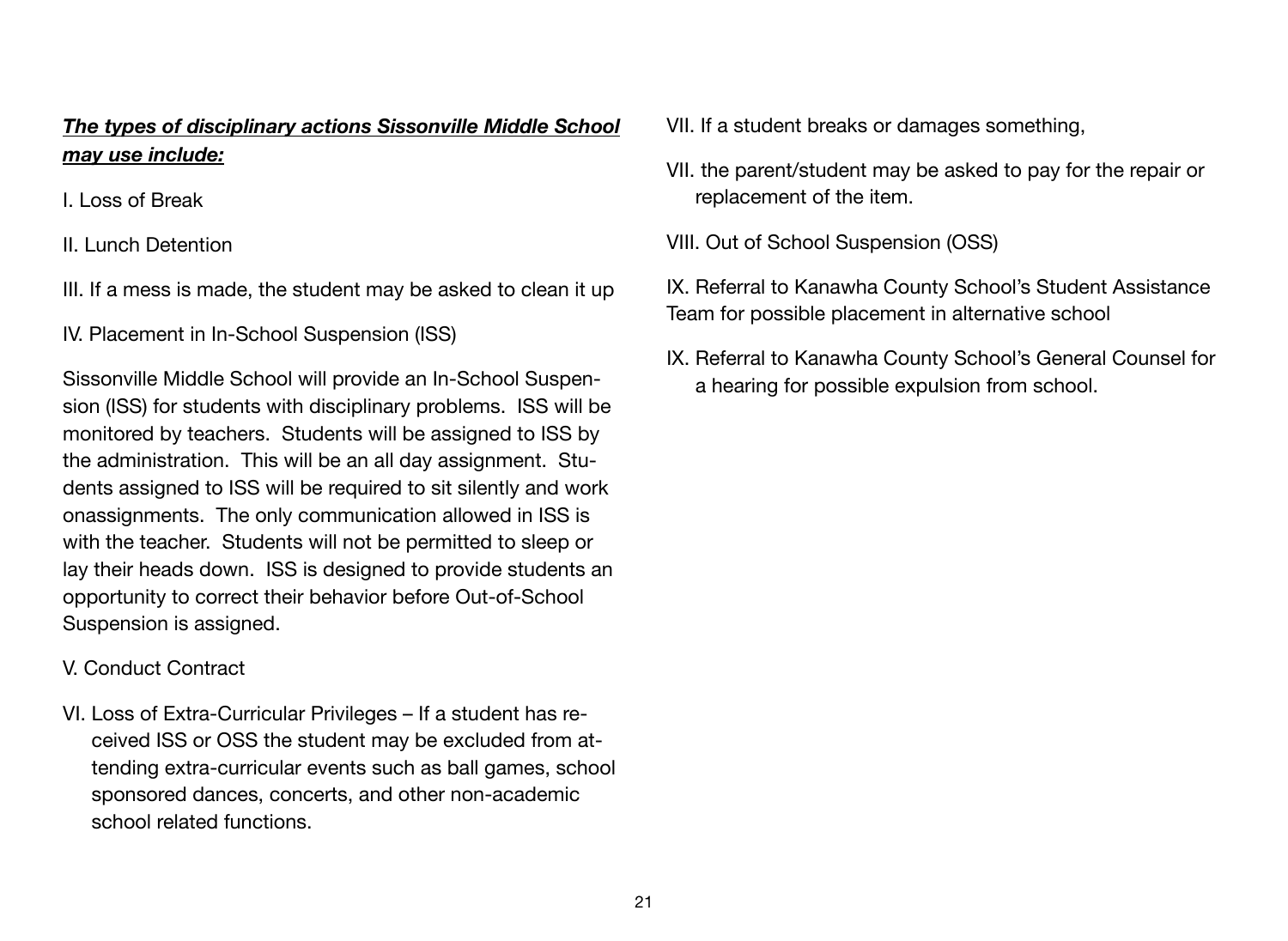# *The types of disciplinary actions Sissonville Middle School may use include:*

I. Loss of Break

II. Lunch Detention

- III. If a mess is made, the student may be asked to clean it up
- IV. Placement in In-School Suspension (ISS)

Sissonville Middle School will provide an In-School Suspension (ISS) for students with disciplinary problems. ISS will be monitored by teachers. Students will be assigned to ISS by the administration. This will be an all day assignment. Students assigned to ISS will be required to sit silently and work onassignments. The only communication allowed in ISS is with the teacher. Students will not be permitted to sleep or lay their heads down. ISS is designed to provide students an opportunity to correct their behavior before Out-of-School Suspension is assigned.

# V. Conduct Contract

VI. Loss of Extra-Curricular Privileges – If a student has received ISS or OSS the student may be excluded from attending extra-curricular events such as ball games, school sponsored dances, concerts, and other non-academic school related functions.

- VII. If a student breaks or damages something,
- VII. the parent/student may be asked to pay for the repair or replacement of the item.
- VIII. Out of School Suspension (OSS)
- IX. Referral to Kanawha County School's Student Assistance Team for possible placement in alternative school
- IX. Referral to Kanawha County School's General Counsel for a hearing for possible expulsion from school.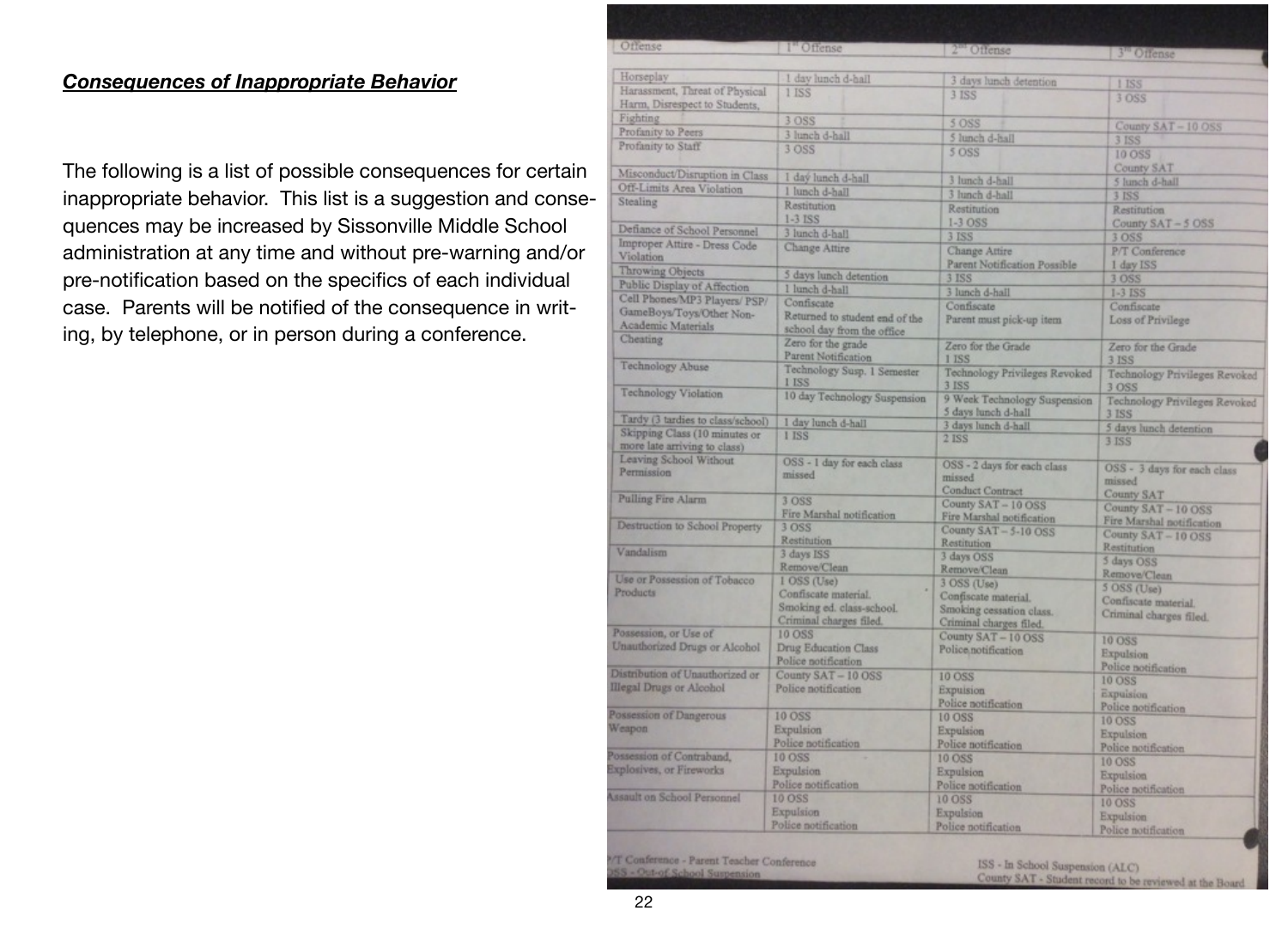# *Consequences of Inappropriate Behavior*

The following is a list of possible consequences for certain inappropriate behavior. This list is a suggestion and consequences may be increased by Sissonville Middle School administration at any time and without pre-warning and/or pre-notification based on the specifics of each individual case. Parents will be notified of the consequence in writing, by telephone, or in person during a conference.

| Offense                                                            | I" Offense                                                                   | 2 <sup>m</sup> Offense                                                      | 3" Offense                                                     |
|--------------------------------------------------------------------|------------------------------------------------------------------------------|-----------------------------------------------------------------------------|----------------------------------------------------------------|
| Horseplay                                                          | 1 day lunch d-hall                                                           | 3 days lunch detention                                                      |                                                                |
| Harassment, Threat of Physical<br>Harm, Disrespect to Students,    | 1 ISS                                                                        | 3 ISS                                                                       | 1 ISS<br>3 OSS                                                 |
| Fighting                                                           | 3 OSS                                                                        | 5 OSS                                                                       |                                                                |
| Profanity to Peers                                                 | 3 lunch d-hall                                                               | 5 lunch d-hall                                                              | County SAT-10 OSS                                              |
| Profanity to Staff                                                 | 3 OSS                                                                        | 5 OSS                                                                       | 3 ISS<br>10 OSS                                                |
| Misconduct/Disruption in Class                                     | I day lunch d-hall                                                           | 3 lunch d-hall                                                              | County SAT<br>5 lunch d-hall                                   |
| Off-Limits Area Violation                                          | 1 lunch d-hall                                                               | 3 lunch d-hall                                                              | <b>3 ISS</b>                                                   |
| Stealing                                                           | Restitution<br>$1-3$ ISS                                                     | Restitution<br>$1-3$ OSS                                                    | Restitution                                                    |
| Defiance of School Personnel                                       | 3 lunch d-hall                                                               | <b>3 ISS</b>                                                                | County SAT-5 OSS<br>3 OSS                                      |
| Improper Attire - Dress Code<br>Violation                          | Change Attire                                                                | Change Attire                                                               | P/T Conference                                                 |
| Throwing Objects                                                   | 5 days lunch detention                                                       | Parent Notification Possible<br>3 ISS                                       | 1 day ISS                                                      |
| Public Display of Affection                                        | 1 lunch d-hall                                                               |                                                                             | 3 OSS                                                          |
| Cell Phones/MP3 Players/ PSP/                                      | Confiscate                                                                   | 3 lunch d-hall<br>Confiscate                                                | $1-3$ $ISS$<br>Confiscate                                      |
| GameBoys/Toys/Other Non-<br>Academic Materials                     | Returned to student end of the<br>school day from the office                 | Parent must pick-up item                                                    | Loss of Privilege                                              |
| Cheating                                                           | Zero for the grade<br>Parent Notification                                    | Zero for the Grade<br>I ISS                                                 | Zero for the Grade<br>3 ISS                                    |
| Technology Abuse                                                   | Technology Susp. 1 Semester<br>1 ISS                                         | Technology Privileges Revoked<br>3 ISS                                      | Technology Privileges Revoked<br>3 OSS                         |
| <b>Technology Violation</b>                                        | 10 day Technology Suspension                                                 | 9 Week Technology Suspension<br>5 days lunch d-hall                         | Technology Privileges Revoked<br><b>3 ISS</b>                  |
| Tardy (3 tardies to class/school)                                  | I day lunch d-hall                                                           | 3 days lunch d-hall                                                         | 5 days lunch detention                                         |
| Skipping Class (10 minutes or<br>more late arriving to class)      | 1 ISS                                                                        | <b>2 ISS</b>                                                                | 3 ISS                                                          |
| Leaving School Without<br>Permission                               | OSS - 1 day for each class<br>missed                                         | OSS - 2 days for each class<br>missed<br><b>Conduct Contract</b>            | OSS - 3 days for each class<br>missed                          |
| <b>Pulling Fire Alarm</b>                                          | 3 OSS<br>Fire Marshal notification                                           | County SAT-10 OSS<br>Fire Marshal notification                              | <b>County SAT</b><br>County SAT-10 OSS                         |
| Destruction to School Property                                     | 3 OSS<br>Restitution                                                         | County SAT - 5-10 OSS<br>Restitution                                        | Fire Marshal notification<br>County SAT-10 OSS                 |
| Vandalism                                                          | 3 days ISS<br>Remove/Clean                                                   | 3 days OSS<br>Remove/Clean                                                  | Restitution<br>5 days OSS                                      |
| Use or Possession of Tobacco                                       | 1 OSS (Use)                                                                  | 3 OSS (Use)                                                                 | Remove/Clean                                                   |
| Products                                                           | Confiscate material.<br>Smoking ed. class-school.<br>Criminal charges filed. | Confiscate material.<br>Smoking cessation class.<br>Criminal charges filed. | 5 OSS (Use)<br>Confiscate material.<br>Criminal charges filed. |
| Possession, or Use of<br>Unauthorized Drugs or Alcohol             | 10 OSS<br>Drug Education Class<br>Police notification                        | County SAT-10 OSS<br>Police notification                                    | <b>10 OSS</b><br>Expulsion                                     |
| Distribution of Unauthorized or<br><b>Illegal Drugs or Alcohol</b> | County SAT - 10 OSS<br>Police notification                                   | 10 OSS<br>Expulsion<br>Police notification                                  | Police notification<br>10 OSS<br>Expuision                     |
| Possession of Dangerous<br>Weapon                                  | <b>10 OSS</b><br>Expulsion<br>Police notification                            | 10 OSS<br>Expulsion<br>Police notification                                  | Police notification<br><b>10 OSS</b><br>Expulsion              |
| Possession of Contraband,<br>Explosives, or Fireworks              | 10 OSS<br><b>Expulsion</b>                                                   | 10 OSS<br>Expulsion                                                         | Police notification<br>10 OSS<br><b>Expulsion</b>              |
| <b>Assault on School Personnel</b>                                 | Police notification<br>10 OSS<br>Expulsion                                   | Police notification<br>10 OSS<br>Expulsion                                  | Police notification<br>10 OSS<br>Expulsion                     |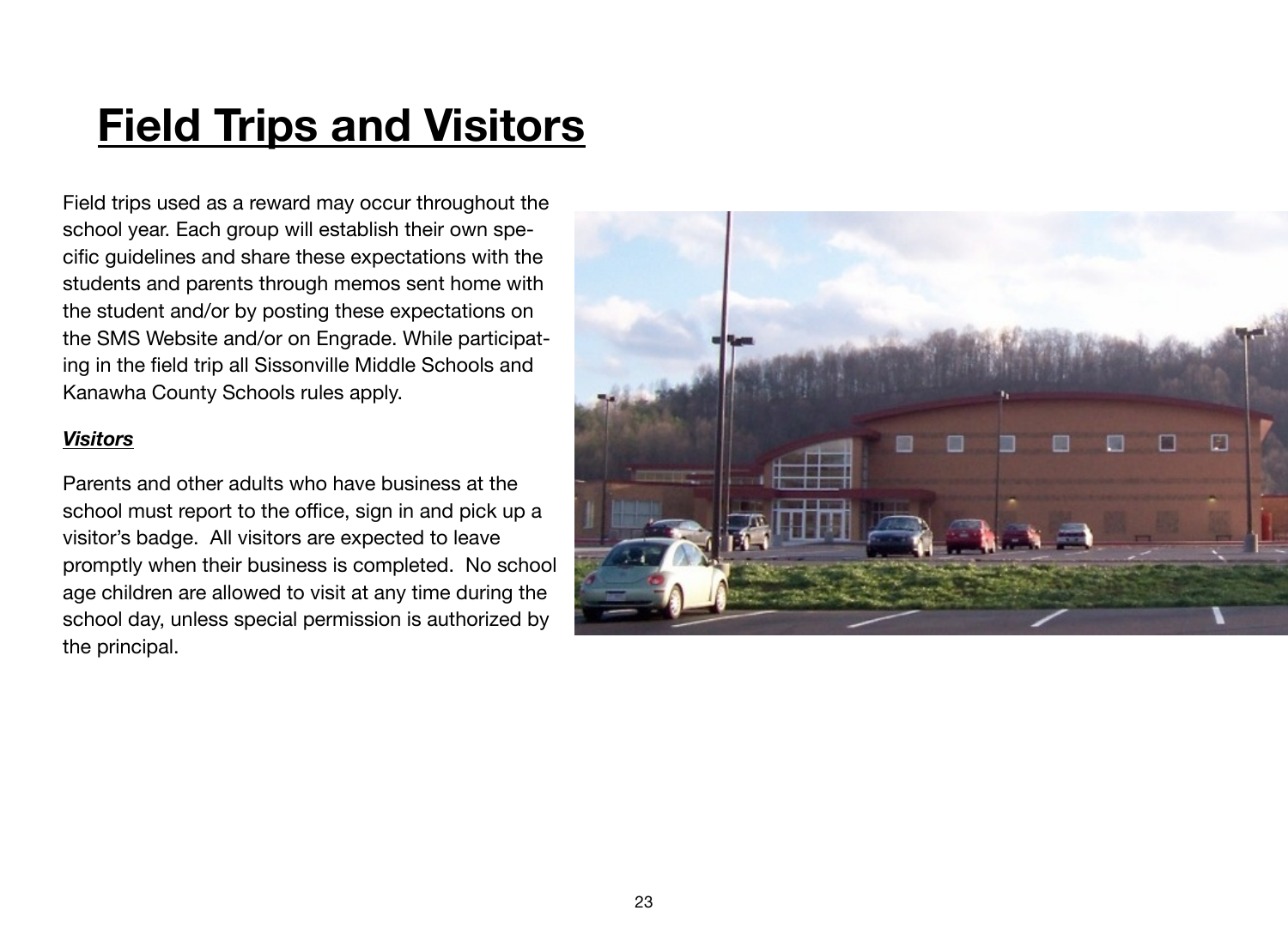# **Field Trips and Visitors**

Field trips used as a reward may occur throughout the school year. Each group will establish their own specific guidelines and share these expectations with the students and parents through memos sent home with the student and/or by posting these expectations on the SMS Website and/or on Engrade. While participating in the field trip all Sissonville Middle Schools and Kanawha County Schools rules apply.

### *Visitors*

Parents and other adults who have business at the school must report to the office, sign in and pick up a visitor's badge. All visitors are expected to leave promptly when their business is completed. No school age children are allowed to visit at any time during the school day, unless special permission is authorized by the principal.

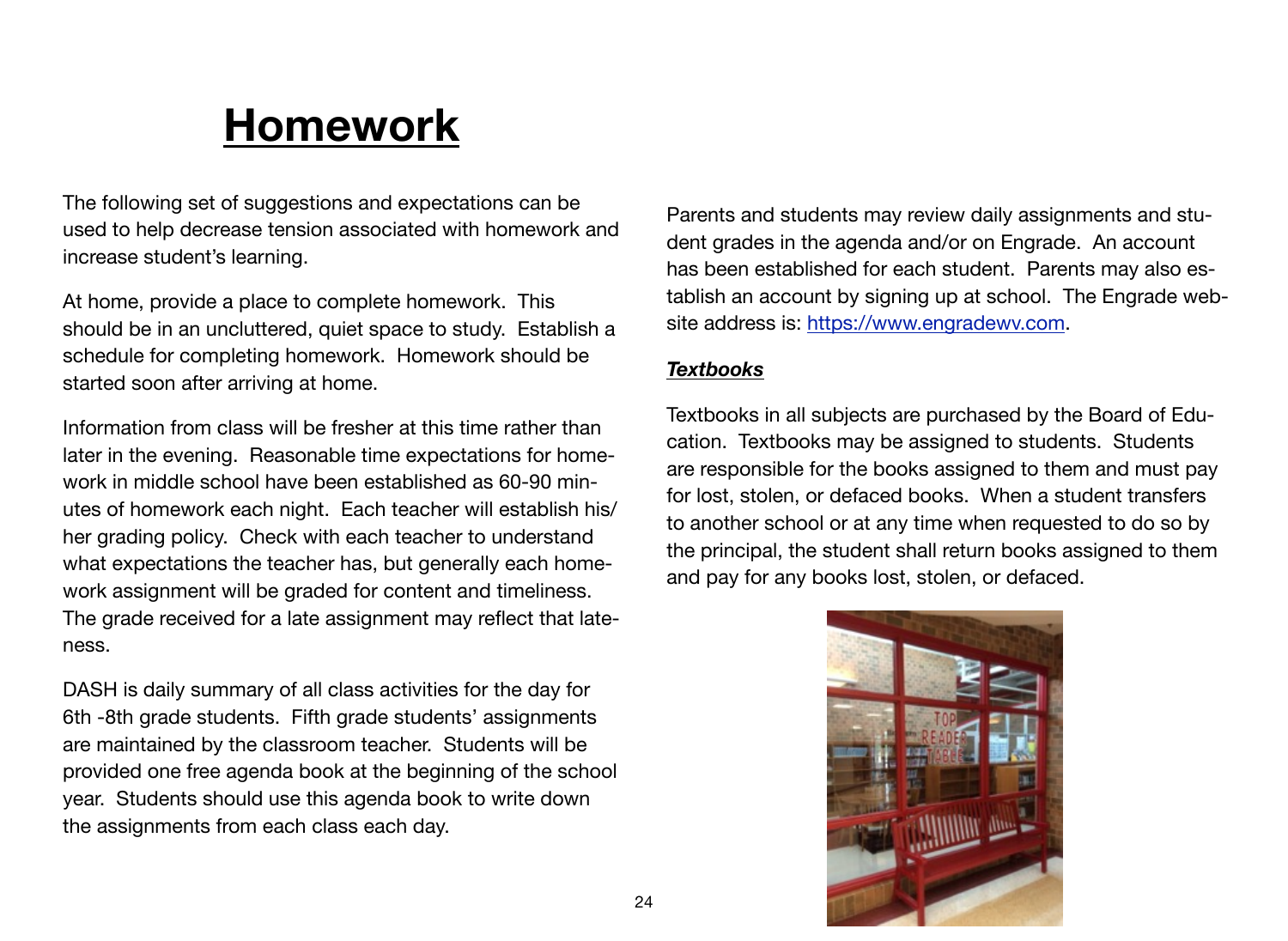# **Homework**

The following set of suggestions and expectations can be used to help decrease tension associated with homework and increase student's learning.

At home, provide a place to complete homework. This should be in an uncluttered, quiet space to study. Establish a schedule for completing homework. Homework should be started soon after arriving at home.

Information from class will be fresher at this time rather than later in the evening. Reasonable time expectations for homework in middle school have been established as 60-90 minutes of homework each night. Each teacher will establish his/ her grading policy. Check with each teacher to understand what expectations the teacher has, but generally each homework assignment will be graded for content and timeliness. The grade received for a late assignment may reflect that lateness.

DASH is daily summary of all class activities for the day for 6th -8th grade students. Fifth grade students' assignments are maintained by the classroom teacher. Students will be provided one free agenda book at the beginning of the school year. Students should use this agenda book to write down the assignments from each class each day.

Parents and students may review daily assignments and student grades in the agenda and/or on Engrade. An account has been established for each student. Parents may also establish an account by signing up at school. The Engrade website address is: [https://www.engradewv.com.](https://www.engradewv.com)

#### *Textbooks*

Textbooks in all subjects are purchased by the Board of Education. Textbooks may be assigned to students. Students are responsible for the books assigned to them and must pay for lost, stolen, or defaced books. When a student transfers to another school or at any time when requested to do so by the principal, the student shall return books assigned to them and pay for any books lost, stolen, or defaced.

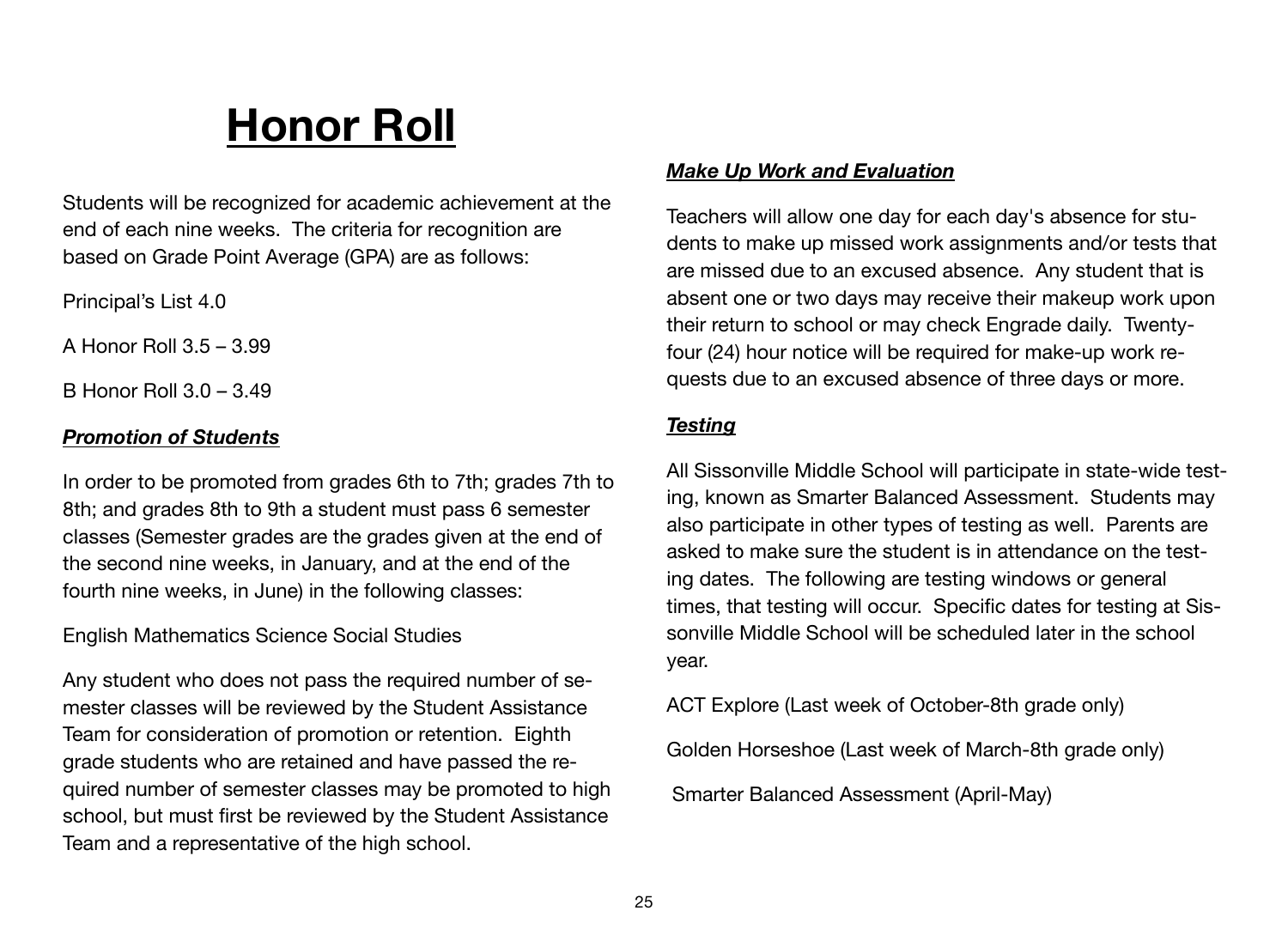# **Honor Roll**

Students will be recognized for academic achievement at the end of each nine weeks. The criteria for recognition are based on Grade Point Average (GPA) are as follows:

Principal's List 4.0

A Honor Roll 3.5 – 3.99

B Honor Roll 3.0 – 3.49

# *Promotion of Students*

In order to be promoted from grades 6th to 7th; grades 7th to 8th; and grades 8th to 9th a student must pass 6 semester classes (Semester grades are the grades given at the end of the second nine weeks, in January, and at the end of the fourth nine weeks, in June) in the following classes:

### English Mathematics Science Social Studies

Any student who does not pass the required number of semester classes will be reviewed by the Student Assistance Team for consideration of promotion or retention. Eighth grade students who are retained and have passed the required number of semester classes may be promoted to high school, but must first be reviewed by the Student Assistance Team and a representative of the high school.

# *Make Up Work and Evaluation*

Teachers will allow one day for each day's absence for students to make up missed work assignments and/or tests that are missed due to an excused absence. Any student that is absent one or two days may receive their makeup work upon their return to school or may check Engrade daily. Twentyfour (24) hour notice will be required for make-up work requests due to an excused absence of three days or more.

# *Testing*

All Sissonville Middle School will participate in state-wide testing, known as Smarter Balanced Assessment. Students may also participate in other types of testing as well. Parents are asked to make sure the student is in attendance on the testing dates. The following are testing windows or general times, that testing will occur. Specific dates for testing at Sissonville Middle School will be scheduled later in the school year.

ACT Explore (Last week of October-8th grade only)

Golden Horseshoe (Last week of March-8th grade only)

Smarter Balanced Assessment (April-May)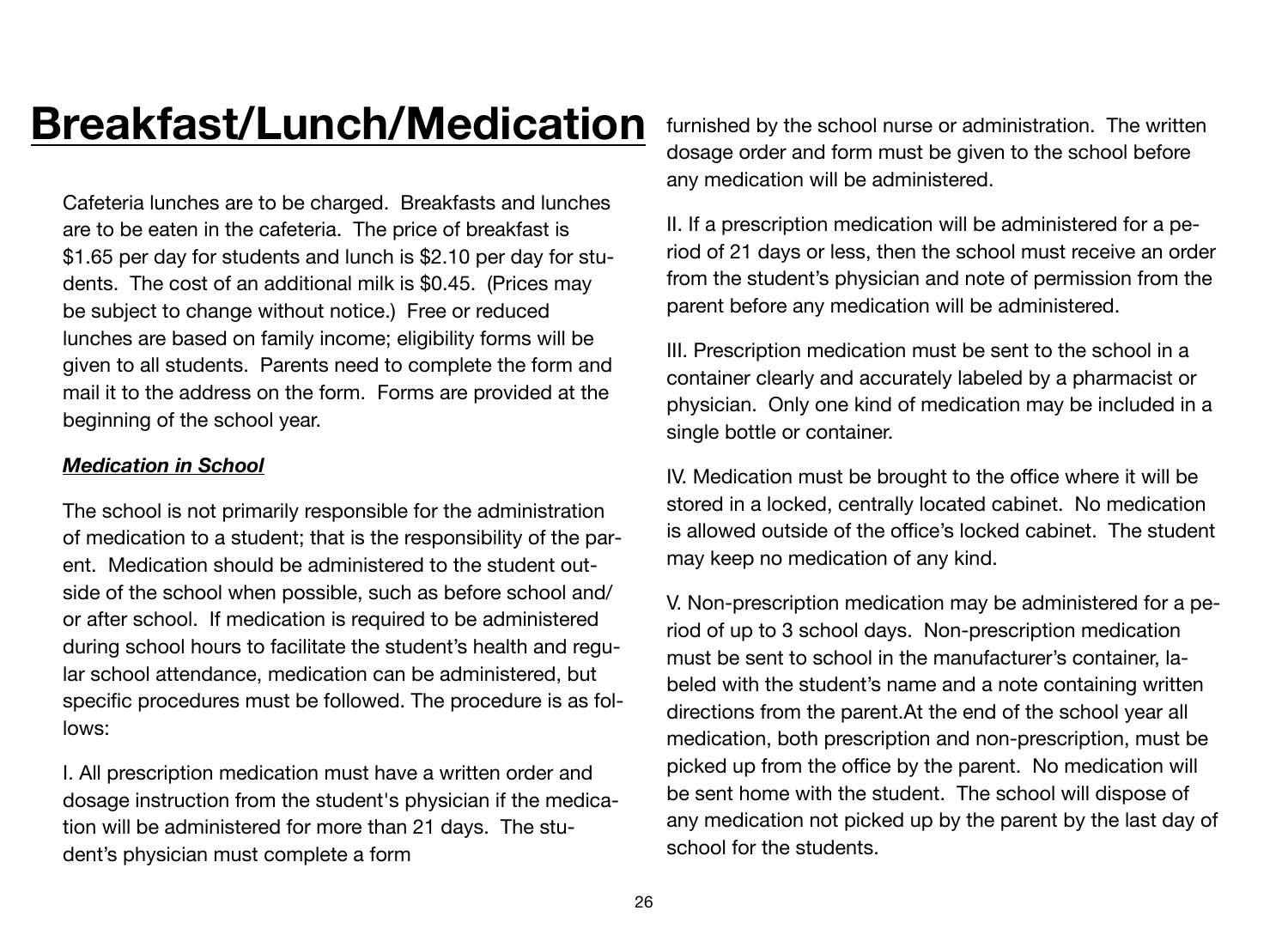# **Breakfast/Lunch/Medication**

Cafeteria lunches are to be charged. Breakfasts and lunches are to be eaten in the cafeteria. The price of breakfast is \$1.65 per day for students and lunch is \$2.10 per day for students. The cost of an additional milk is \$0.45. (Prices may be subject to change without notice.) Free or reduced lunches are based on family income; eligibility forms will be given to all students. Parents need to complete the form and mail it to the address on the form. Forms are provided at the beginning of the school year.

### *Medication in School*

The school is not primarily responsible for the administration of medication to a student; that is the responsibility of the parent. Medication should be administered to the student outside of the school when possible, such as before school and/ or after school. If medication is required to be administered during school hours to facilitate the student's health and regular school attendance, medication can be administered, but specific procedures must be followed. The procedure is as follows:

I. All prescription medication must have a written order and dosage instruction from the student's physician if the medication will be administered for more than 21 days. The student's physician must complete a form

furnished by the school nurse or administration. The written dosage order and form must be given to the school before any medication will be administered.

II. If a prescription medication will be administered for a period of 21 days or less, then the school must receive an order from the student's physician and note of permission from the parent before any medication will be administered.

III. Prescription medication must be sent to the school in a container clearly and accurately labeled by a pharmacist or physician. Only one kind of medication may be included in a single bottle or container.

IV. Medication must be brought to the office where it will be stored in a locked, centrally located cabinet. No medication is allowed outside of the office's locked cabinet. The student may keep no medication of any kind.

V. Non-prescription medication may be administered for a period of up to 3 school days. Non-prescription medication must be sent to school in the manufacturer's container, labeled with the student's name and a note containing written directions from the parent.At the end of the school year all medication, both prescription and non-prescription, must be picked up from the office by the parent. No medication will be sent home with the student. The school will dispose of any medication not picked up by the parent by the last day of school for the students.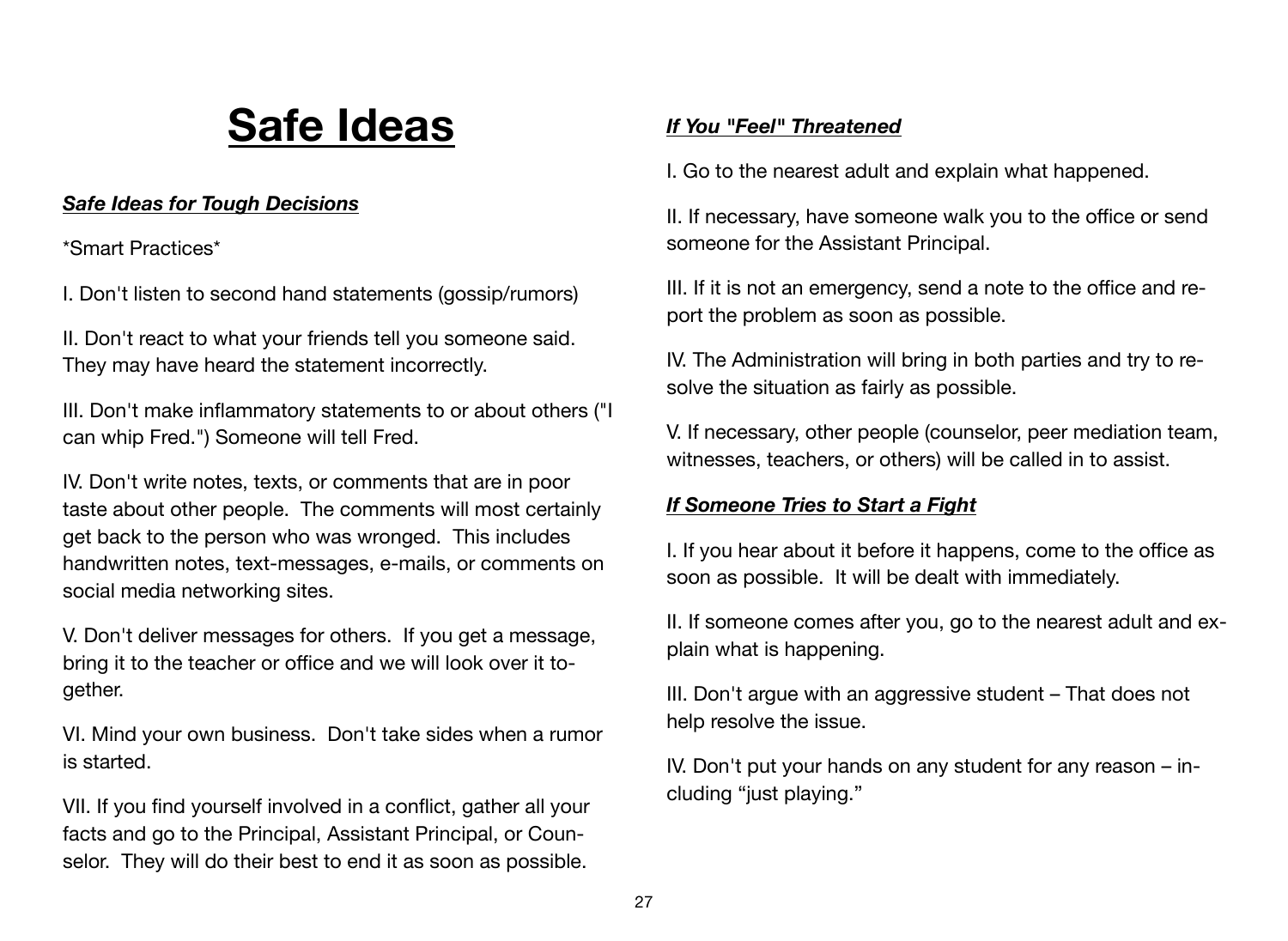# **Safe Ideas**

# *Safe Ideas for Tough Decisions*

\*Smart Practices\*

I. Don't listen to second hand statements (gossip/rumors)

II. Don't react to what your friends tell you someone said. They may have heard the statement incorrectly.

III. Don't make inflammatory statements to or about others ("I can whip Fred.") Someone will tell Fred.

IV. Don't write notes, texts, or comments that are in poor taste about other people. The comments will most certainly get back to the person who was wronged. This includes handwritten notes, text-messages, e-mails, or comments on social media networking sites.

V. Don't deliver messages for others. If you get a message, bring it to the teacher or office and we will look over it together.

VI. Mind your own business. Don't take sides when a rumor is started.

VII. If you find yourself involved in a conflict, gather all your facts and go to the Principal, Assistant Principal, or Counselor. They will do their best to end it as soon as possible.

# *If You "Feel" Threatened*

I. Go to the nearest adult and explain what happened.

II. If necessary, have someone walk you to the office or send someone for the Assistant Principal.

III. If it is not an emergency, send a note to the office and report the problem as soon as possible.

IV. The Administration will bring in both parties and try to resolve the situation as fairly as possible.

V. If necessary, other people (counselor, peer mediation team, witnesses, teachers, or others) will be called in to assist.

# *If Someone Tries to Start a Fight*

I. If you hear about it before it happens, come to the office as soon as possible. It will be dealt with immediately.

II. If someone comes after you, go to the nearest adult and explain what is happening.

III. Don't argue with an aggressive student – That does not help resolve the issue.

IV. Don't put your hands on any student for any reason – including "just playing."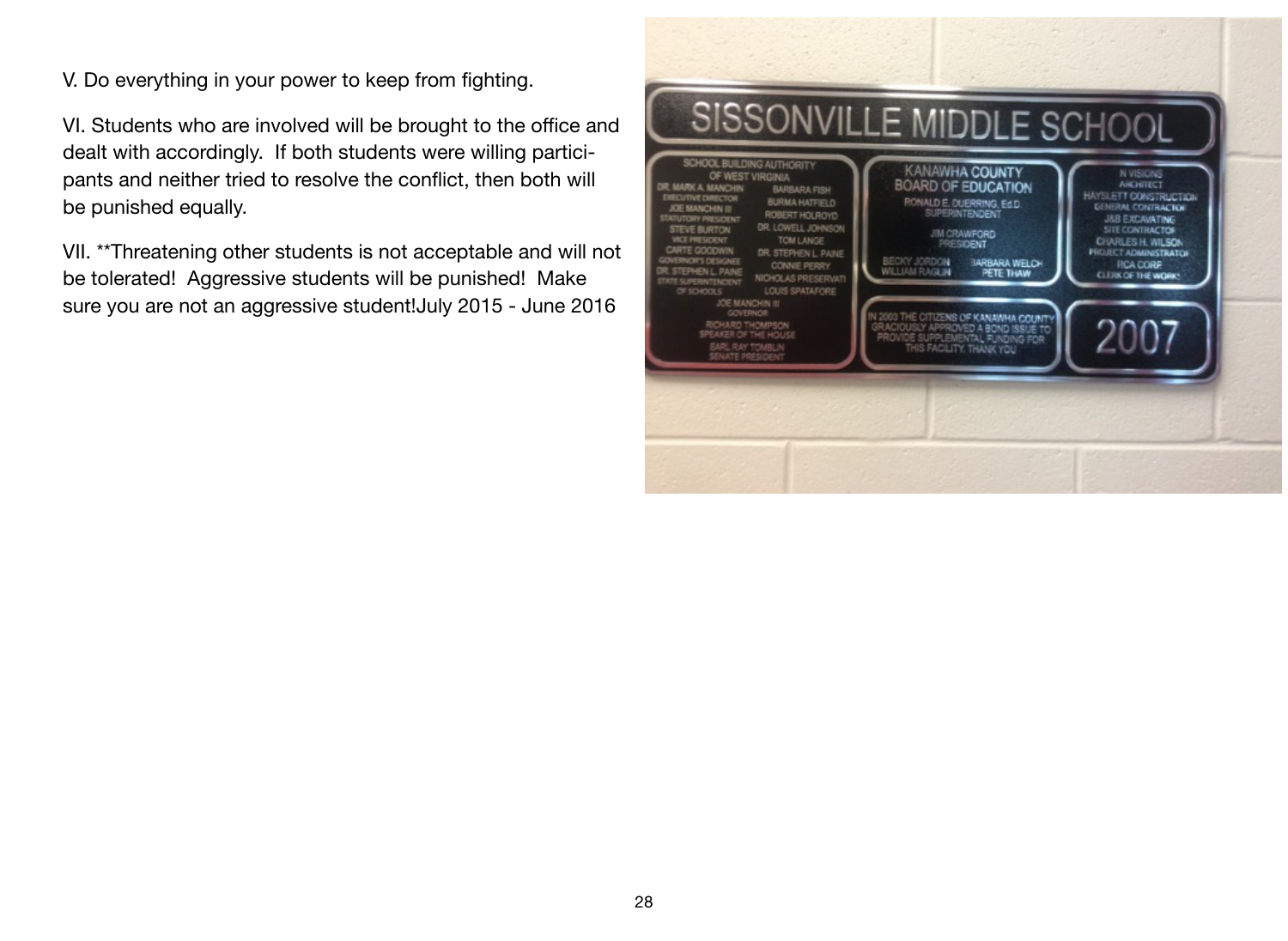V. Do everything in your power to keep from fighting.

VI. Students who are involved will be brought to the office and dealt with accordingly. If both students were willing participants and neither tried to resolve the conflict, then both will be punished equally.

VII. \*\*Threatening other students is not acceptable and will not be tolerated! Aggressive students will be punished! Make sure you are not an aggressive student!July 2015 - June 2016

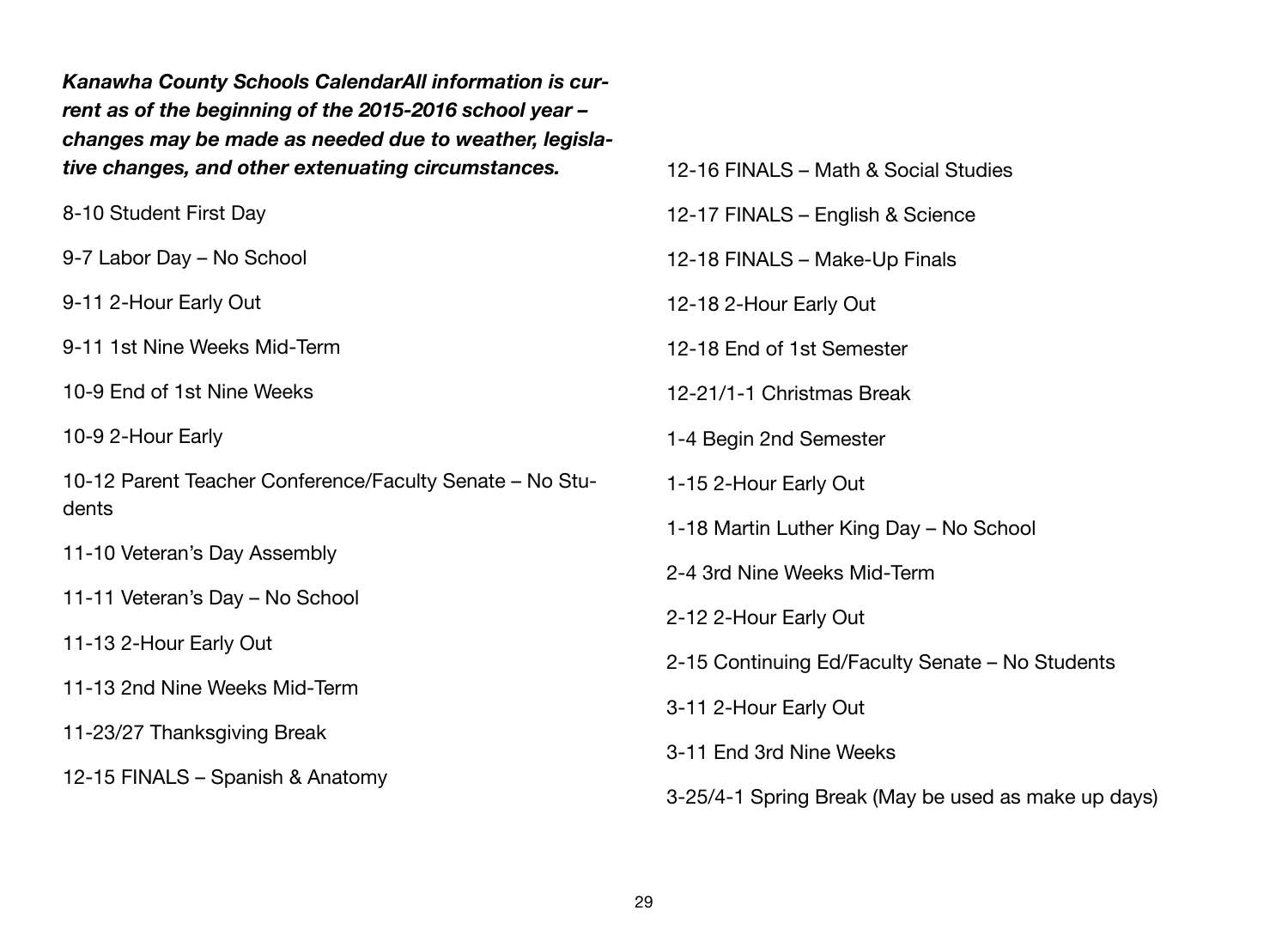*Kanawha County Schools CalendarAll information is current as of the beginning of the 2015-2016 school year – changes may be made as needed due to weather, legislative changes, and other extenuating circumstances.*

8-10 Student First Day

9-7 Labor Day – No School

9-11 2-Hour Early Out

9-11 1st Nine Weeks Mid-Term

10-9 End of 1st Nine Weeks

10-9 2-Hour Early

10-12 Parent Teacher Conference/Faculty Senate – No Students

11-10 Veteran's Day Assembly

11-11 Veteran's Day – No School

11-13 2-Hour Early Out

11-13 2nd Nine Weeks Mid-Term

11-23/27 Thanksgiving Break

12-15 FINALS – Spanish & Anatomy

12-16 FINALS – Math & Social Studies 12-17 FINALS – English & Science 12-18 FINALS – Make-Up Finals 12-18 2-Hour Early Out 12-18 End of 1st Semester 12-21/1-1 Christmas Break 1-4 Begin 2nd Semester 1-15 2-Hour Early Out 1-18 Martin Luther King Day – No School 2-4 3rd Nine Weeks Mid-Term 2-12 2-Hour Early Out 2-15 Continuing Ed/Faculty Senate – No Students 3-11 2-Hour Early Out 3-11 End 3rd Nine Weeks

3-25/4-1 Spring Break (May be used as make up days)